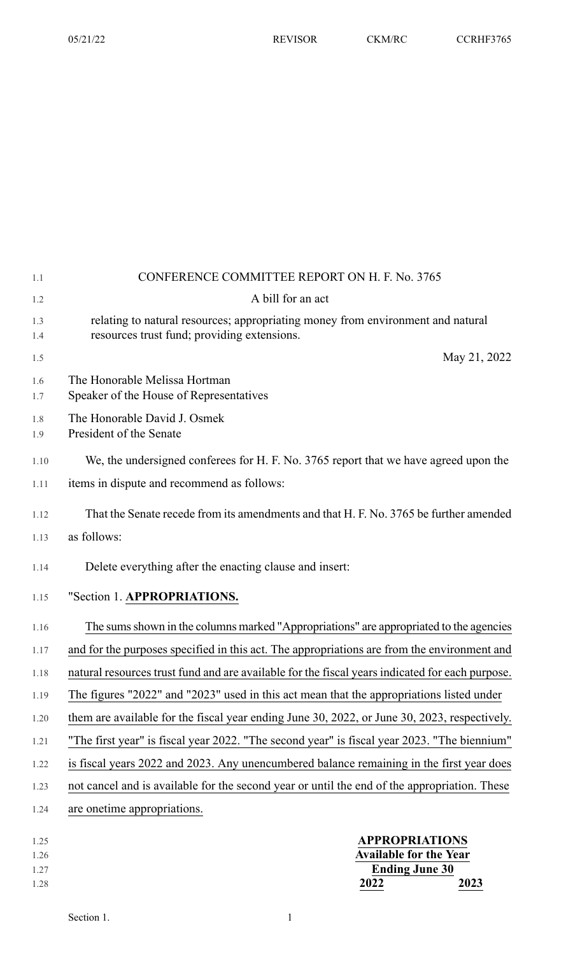| 1.1                  | CONFERENCE COMMITTEE REPORT ON H. F. No. 3765                                                                                  |
|----------------------|--------------------------------------------------------------------------------------------------------------------------------|
| 1.2                  | A bill for an act                                                                                                              |
| 1.3<br>1.4           | relating to natural resources; appropriating money from environment and natural<br>resources trust fund; providing extensions. |
| 1.5                  | May 21, 2022                                                                                                                   |
| 1.6<br>1.7           | The Honorable Melissa Hortman<br>Speaker of the House of Representatives                                                       |
| 1.8<br>1.9           | The Honorable David J. Osmek<br>President of the Senate                                                                        |
| 1.10                 | We, the undersigned conferees for H. F. No. 3765 report that we have agreed upon the                                           |
| 1.11                 | items in dispute and recommend as follows:                                                                                     |
| 1.12                 | That the Senate recede from its amendments and that H. F. No. 3765 be further amended                                          |
| 1.13                 | as follows:                                                                                                                    |
| 1.14                 | Delete everything after the enacting clause and insert:                                                                        |
| 1.15                 | "Section 1. APPROPRIATIONS.                                                                                                    |
| 1.16                 | The sums shown in the columns marked "Appropriations" are appropriated to the agencies                                         |
| 1.17                 | and for the purposes specified in this act. The appropriations are from the environment and                                    |
| 1.18                 | natural resources trust fund and are available for the fiscal years indicated for each purpose.                                |
| 1.19                 | The figures "2022" and "2023" used in this act mean that the appropriations listed under                                       |
| 1.20                 | them are available for the fiscal year ending June 30, 2022, or June 30, 2023, respectively.                                   |
| 1.21                 | "The first year" is fiscal year 2022. "The second year" is fiscal year 2023. "The biennium"                                    |
| 1.22                 | is fiscal years 2022 and 2023. Any unencumbered balance remaining in the first year does                                       |
| 1.23                 | not cancel and is available for the second year or until the end of the appropriation. These                                   |
| 1.24                 | are onetime appropriations.                                                                                                    |
| 1.25<br>1.26<br>1.27 | <b>APPROPRIATIONS</b><br><b>Available for the Year</b><br><b>Ending June 30</b>                                                |

1.28 **2022 2023**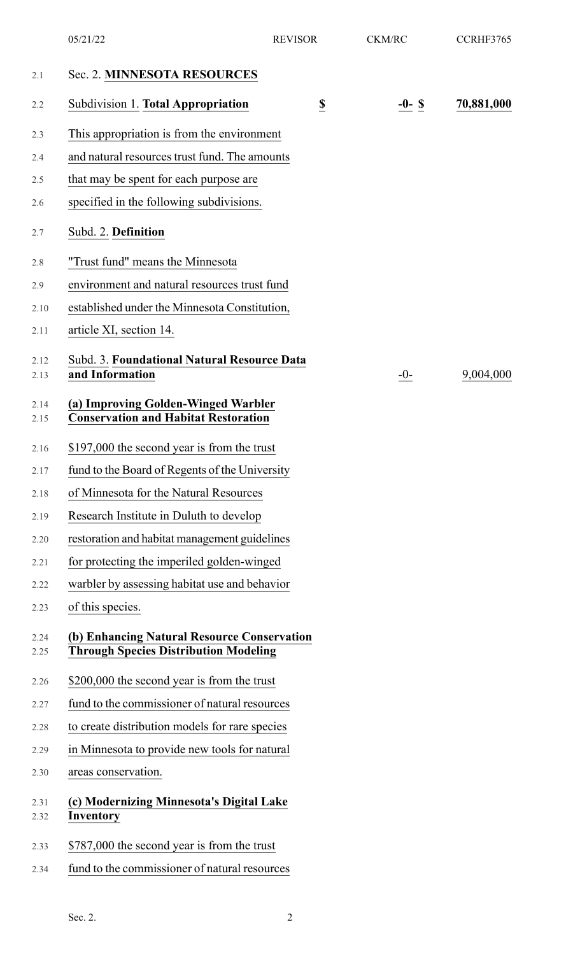| 05/21/22                                 | <b>REVISOR</b>          | <b>CKM/RC</b>                                                                                                                                                                                                                                                                                                                                                                                                                                                                                                                                                                                                                                                                                                                                                                                                                                                                                                                                                                                                                    | CCRHF3765  |
|------------------------------------------|-------------------------|----------------------------------------------------------------------------------------------------------------------------------------------------------------------------------------------------------------------------------------------------------------------------------------------------------------------------------------------------------------------------------------------------------------------------------------------------------------------------------------------------------------------------------------------------------------------------------------------------------------------------------------------------------------------------------------------------------------------------------------------------------------------------------------------------------------------------------------------------------------------------------------------------------------------------------------------------------------------------------------------------------------------------------|------------|
| Sec. 2. MINNESOTA RESOURCES              |                         |                                                                                                                                                                                                                                                                                                                                                                                                                                                                                                                                                                                                                                                                                                                                                                                                                                                                                                                                                                                                                                  |            |
| Subdivision 1. Total Appropriation       | $\overline{\mathbf{S}}$ | $-0-$ \$                                                                                                                                                                                                                                                                                                                                                                                                                                                                                                                                                                                                                                                                                                                                                                                                                                                                                                                                                                                                                         | 70,881,000 |
|                                          |                         |                                                                                                                                                                                                                                                                                                                                                                                                                                                                                                                                                                                                                                                                                                                                                                                                                                                                                                                                                                                                                                  |            |
|                                          |                         |                                                                                                                                                                                                                                                                                                                                                                                                                                                                                                                                                                                                                                                                                                                                                                                                                                                                                                                                                                                                                                  |            |
| that may be spent for each purpose are   |                         |                                                                                                                                                                                                                                                                                                                                                                                                                                                                                                                                                                                                                                                                                                                                                                                                                                                                                                                                                                                                                                  |            |
| specified in the following subdivisions. |                         |                                                                                                                                                                                                                                                                                                                                                                                                                                                                                                                                                                                                                                                                                                                                                                                                                                                                                                                                                                                                                                  |            |
| Subd. 2. Definition                      |                         |                                                                                                                                                                                                                                                                                                                                                                                                                                                                                                                                                                                                                                                                                                                                                                                                                                                                                                                                                                                                                                  |            |
| "Trust fund" means the Minnesota         |                         |                                                                                                                                                                                                                                                                                                                                                                                                                                                                                                                                                                                                                                                                                                                                                                                                                                                                                                                                                                                                                                  |            |
|                                          |                         |                                                                                                                                                                                                                                                                                                                                                                                                                                                                                                                                                                                                                                                                                                                                                                                                                                                                                                                                                                                                                                  |            |
|                                          |                         |                                                                                                                                                                                                                                                                                                                                                                                                                                                                                                                                                                                                                                                                                                                                                                                                                                                                                                                                                                                                                                  |            |
| article XI, section 14.                  |                         |                                                                                                                                                                                                                                                                                                                                                                                                                                                                                                                                                                                                                                                                                                                                                                                                                                                                                                                                                                                                                                  |            |
| and Information                          |                         | $-0-$                                                                                                                                                                                                                                                                                                                                                                                                                                                                                                                                                                                                                                                                                                                                                                                                                                                                                                                                                                                                                            | 9,004,000  |
|                                          |                         |                                                                                                                                                                                                                                                                                                                                                                                                                                                                                                                                                                                                                                                                                                                                                                                                                                                                                                                                                                                                                                  |            |
|                                          |                         |                                                                                                                                                                                                                                                                                                                                                                                                                                                                                                                                                                                                                                                                                                                                                                                                                                                                                                                                                                                                                                  |            |
|                                          |                         |                                                                                                                                                                                                                                                                                                                                                                                                                                                                                                                                                                                                                                                                                                                                                                                                                                                                                                                                                                                                                                  |            |
| of Minnesota for the Natural Resources   |                         |                                                                                                                                                                                                                                                                                                                                                                                                                                                                                                                                                                                                                                                                                                                                                                                                                                                                                                                                                                                                                                  |            |
| Research Institute in Duluth to develop  |                         |                                                                                                                                                                                                                                                                                                                                                                                                                                                                                                                                                                                                                                                                                                                                                                                                                                                                                                                                                                                                                                  |            |
|                                          |                         |                                                                                                                                                                                                                                                                                                                                                                                                                                                                                                                                                                                                                                                                                                                                                                                                                                                                                                                                                                                                                                  |            |
|                                          |                         |                                                                                                                                                                                                                                                                                                                                                                                                                                                                                                                                                                                                                                                                                                                                                                                                                                                                                                                                                                                                                                  |            |
|                                          |                         |                                                                                                                                                                                                                                                                                                                                                                                                                                                                                                                                                                                                                                                                                                                                                                                                                                                                                                                                                                                                                                  |            |
| of this species.                         |                         |                                                                                                                                                                                                                                                                                                                                                                                                                                                                                                                                                                                                                                                                                                                                                                                                                                                                                                                                                                                                                                  |            |
|                                          |                         |                                                                                                                                                                                                                                                                                                                                                                                                                                                                                                                                                                                                                                                                                                                                                                                                                                                                                                                                                                                                                                  |            |
|                                          |                         |                                                                                                                                                                                                                                                                                                                                                                                                                                                                                                                                                                                                                                                                                                                                                                                                                                                                                                                                                                                                                                  |            |
|                                          |                         |                                                                                                                                                                                                                                                                                                                                                                                                                                                                                                                                                                                                                                                                                                                                                                                                                                                                                                                                                                                                                                  |            |
|                                          |                         |                                                                                                                                                                                                                                                                                                                                                                                                                                                                                                                                                                                                                                                                                                                                                                                                                                                                                                                                                                                                                                  |            |
|                                          |                         |                                                                                                                                                                                                                                                                                                                                                                                                                                                                                                                                                                                                                                                                                                                                                                                                                                                                                                                                                                                                                                  |            |
| areas conservation.                      |                         |                                                                                                                                                                                                                                                                                                                                                                                                                                                                                                                                                                                                                                                                                                                                                                                                                                                                                                                                                                                                                                  |            |
| Inventory                                |                         |                                                                                                                                                                                                                                                                                                                                                                                                                                                                                                                                                                                                                                                                                                                                                                                                                                                                                                                                                                                                                                  |            |
|                                          |                         |                                                                                                                                                                                                                                                                                                                                                                                                                                                                                                                                                                                                                                                                                                                                                                                                                                                                                                                                                                                                                                  |            |
|                                          |                         |                                                                                                                                                                                                                                                                                                                                                                                                                                                                                                                                                                                                                                                                                                                                                                                                                                                                                                                                                                                                                                  |            |
|                                          |                         | This appropriation is from the environment<br>and natural resources trust fund. The amounts<br>environment and natural resources trust fund<br>established under the Minnesota Constitution,<br>Subd. 3. Foundational Natural Resource Data<br>(a) Improving Golden-Winged Warbler<br><b>Conservation and Habitat Restoration</b><br>\$197,000 the second year is from the trust<br>fund to the Board of Regents of the University<br>restoration and habitat management guidelines<br>for protecting the imperiled golden-winged<br>warbler by assessing habitat use and behavior<br>(b) Enhancing Natural Resource Conservation<br><b>Through Species Distribution Modeling</b><br>\$200,000 the second year is from the trust<br>fund to the commissioner of natural resources<br>to create distribution models for rare species<br>in Minnesota to provide new tools for natural<br>(c) Modernizing Minnesota's Digital Lake<br>\$787,000 the second year is from the trust<br>fund to the commissioner of natural resources |            |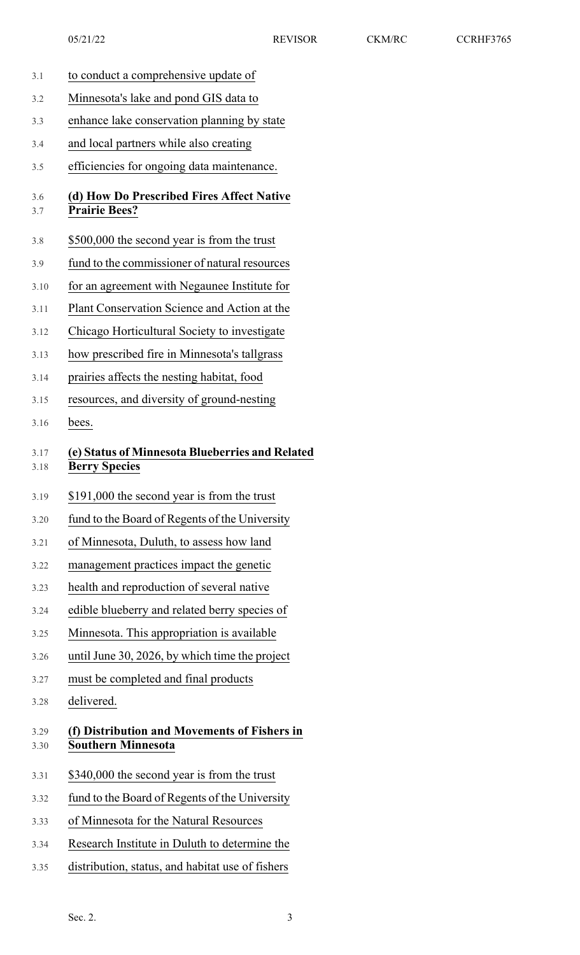- 3.1 to conduct a comprehensive update of
- 3.2 Minnesota's lake and pond GIS data to
- 3.3 enhance lake conservation planning by state
- 3.4 and local partners while also creating

3.5 efficiencies for ongoing data maintenance.

### 3.6 **(d) How Do Prescribed Fires Affect Native** 3.7 **Prairie Bees?**

- 3.8 \$500,000 the second year is from the trust
- 3.9 fund to the commissioner of natural resources
- 3.10 for an agreement with Negaunee Institute for
- 3.11 Plant Conservation Science and Action at the
- 3.12 Chicago Horticultural Society to investigate
- 3.13 how prescribed fire in Minnesota's tallgrass
- 3.14 prairies affects the nesting habitat, food
- 3.15 resources, and diversity of ground-nesting
- 3.16 bees.

## 3.17 **(e) Status of Minnesota Blueberries and Related** 3.18 **Berry Species**

- 3.19 \$191,000 the second year is from the trust
- 3.20 fund to the Board of Regents of the University
- 3.21 of Minnesota, Duluth, to assess how land
- 3.22 management practices impact the genetic
- 3.23 health and reproduction of several native
- 3.24 edible blueberry and related berry species of
- 3.25 Minnesota. This appropriation is available
- 3.26 until June 30, 2026, by which time the project
- 3.27 must be completed and final products
- 3.28 delivered.

## 3.29 **(f) Distribution and Movements of Fishers in** 3.30 **Southern Minnesota**

- 3.31 \$340,000 the second year is from the trust
- 3.32 fund to the Board of Regents of the University
- 3.33 of Minnesota for the Natural Resources
- 3.34 Research Institute in Duluth to determine the
- 3.35 distribution, status, and habitat use of fishers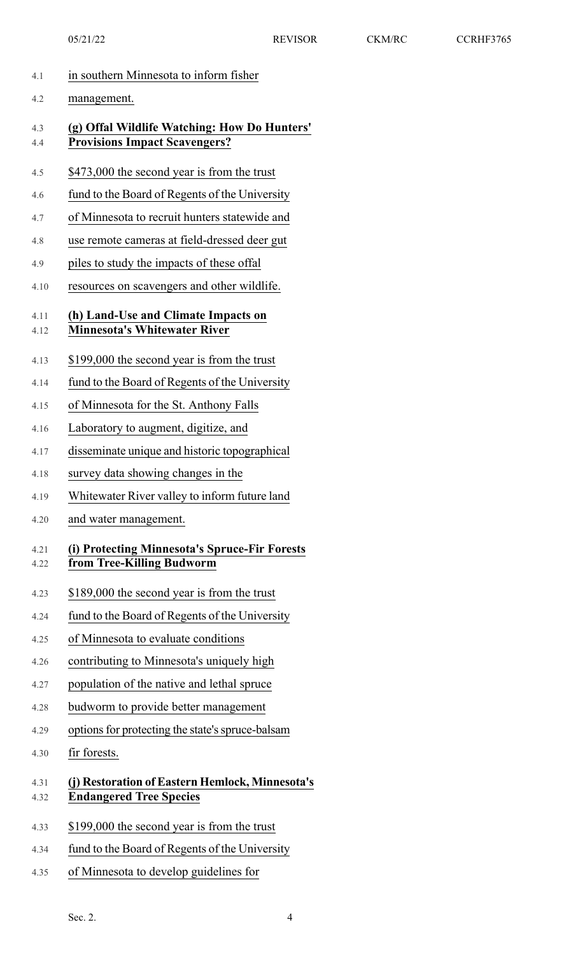| 1.1 | in southern Minnesota to inform fisher |  |  |
|-----|----------------------------------------|--|--|
|     |                                        |  |  |

| 4.1          | in southern Minnesota to inform fisher                                               |
|--------------|--------------------------------------------------------------------------------------|
| 4.2          | management.                                                                          |
| 4.3<br>4.4   | (g) Offal Wildlife Watching: How Do Hunters'<br><b>Provisions Impact Scavengers?</b> |
| 4.5          | \$473,000 the second year is from the trust                                          |
| 4.6          | fund to the Board of Regents of the University                                       |
| 4.7          | of Minnesota to recruit hunters statewide and                                        |
| 4.8          | use remote cameras at field-dressed deer gut                                         |
| 4.9          | piles to study the impacts of these offal                                            |
| 4.10         | resources on scavengers and other wildlife.                                          |
| 4.11<br>4.12 | (h) Land-Use and Climate Impacts on<br><b>Minnesota's Whitewater River</b>           |
| 4.13         | \$199,000 the second year is from the trust                                          |
| 4.14         | fund to the Board of Regents of the University                                       |
| 4.15         | of Minnesota for the St. Anthony Falls                                               |
| 4.16         | Laboratory to augment, digitize, and                                                 |
| 4.17         | disseminate unique and historic topographical                                        |
| 4.18         | survey data showing changes in the                                                   |
| 4.19         | Whitewater River valley to inform future land                                        |
| 4.20         | and water management.                                                                |
| 4.21<br>4.22 | (i) Protecting Minnesota's Spruce-Fir Forests<br>from Tree-Killing Budworm           |
| 4.23         | \$189,000 the second year is from the trust                                          |
| 4.24         | fund to the Board of Regents of the University                                       |
| 4.25         | of Minnesota to evaluate conditions                                                  |
| 4.26         | contributing to Minnesota's uniquely high                                            |
| 4.27         | population of the native and lethal spruce                                           |
| 4.28         | budworm to provide better management                                                 |
| 4.29         | options for protecting the state's spruce-balsam                                     |
| 4.30         | fir forests.                                                                         |
| 4.31<br>4.32 | (j) Restoration of Eastern Hemlock, Minnesota's<br><b>Endangered Tree Species</b>    |
| 4.33         | \$199,000 the second year is from the trust                                          |
| 4.34         | fund to the Board of Regents of the University                                       |
| 4.35         | of Minnesota to develop guidelines for                                               |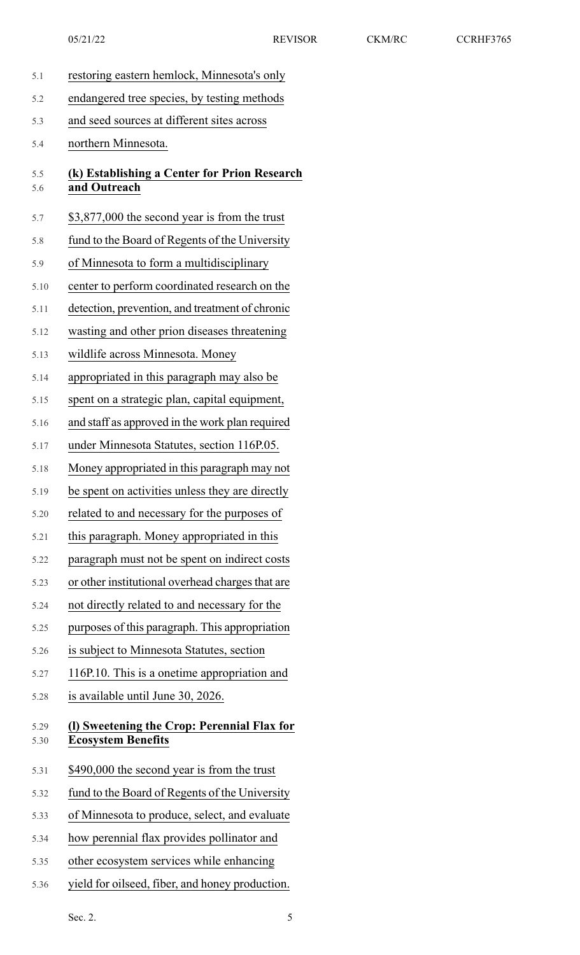| 5.1          | restoring eastern hemlock, Minnesota's only                              |
|--------------|--------------------------------------------------------------------------|
| 5.2          | endangered tree species, by testing methods                              |
| 5.3          | and seed sources at different sites across                               |
| 5.4          | northern Minnesota.                                                      |
| 5.5<br>5.6   | (k) Establishing a Center for Prion Research<br>and Outreach             |
| 5.7          | \$3,877,000 the second year is from the trust                            |
| 5.8          | fund to the Board of Regents of the University                           |
| 5.9          | of Minnesota to form a multidisciplinary                                 |
| 5.10         | center to perform coordinated research on the                            |
| 5.11         | detection, prevention, and treatment of chronic                          |
| 5.12         | wasting and other prion diseases threatening                             |
| 5.13         | wildlife across Minnesota. Money                                         |
| 5.14         | appropriated in this paragraph may also be                               |
| 5.15         | spent on a strategic plan, capital equipment,                            |
| 5.16         | and staff as approved in the work plan required                          |
| 5.17         | under Minnesota Statutes, section 116P.05.                               |
| 5.18         | Money appropriated in this paragraph may not                             |
| 5.19         | be spent on activities unless they are directly                          |
| 5.20         | related to and necessary for the purposes of                             |
| 5.21         | this paragraph. Money appropriated in this                               |
| 5.22         | paragraph must not be spent on indirect costs                            |
| 5.23         | or other institutional overhead charges that are                         |
| 5.24         | not directly related to and necessary for the                            |
| 5.25         | purposes of this paragraph. This appropriation                           |
| 5.26         | is subject to Minnesota Statutes, section                                |
| 5.27         | 116P.10. This is a onetime appropriation and                             |
| 5.28         | is available until June 30, 2026.                                        |
| 5.29<br>5.30 | (I) Sweetening the Crop: Perennial Flax for<br><b>Ecosystem Benefits</b> |
| 5.31         | \$490,000 the second year is from the trust                              |
| 5.32         | fund to the Board of Regents of the University                           |
| 5.33         | of Minnesota to produce, select, and evaluate                            |
| 5.34         | how perennial flax provides pollinator and                               |
| 5.35         | other ecosystem services while enhancing                                 |
| 5.36         | yield for oilseed, fiber, and honey production.                          |

Sec. 2. 5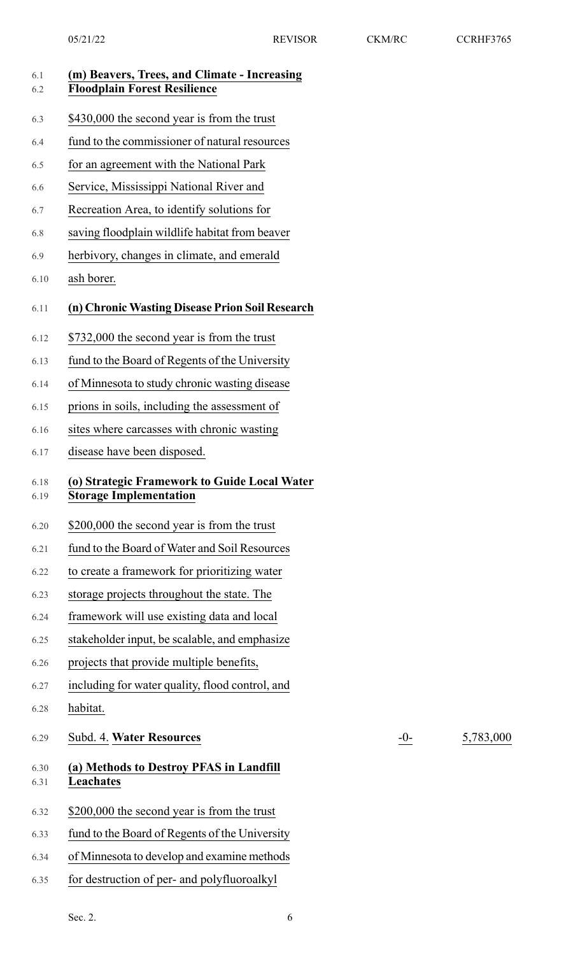6.29 Subd. 4. **Water Resources** -0- 5,783,000

| 6.1<br>6.2   | (m) Beavers, Trees, and Climate - Increasing<br><b>Floodplain Forest Resilience</b> |
|--------------|-------------------------------------------------------------------------------------|
| 6.3          | \$430,000 the second year is from the trust                                         |
| 6.4          | fund to the commissioner of natural resources                                       |
| 6.5          | for an agreement with the National Park                                             |
| 6.6          | Service, Mississippi National River and                                             |
| 6.7          | Recreation Area, to identify solutions for                                          |
| 6.8          | saving floodplain wildlife habitat from beaver                                      |
| 6.9          | herbivory, changes in climate, and emerald                                          |
| 6.10         | ash borer.                                                                          |
| 6.11         | (n) Chronic Wasting Disease Prion Soil Research                                     |
| 6.12         | \$732,000 the second year is from the trust                                         |
| 6.13         | fund to the Board of Regents of the University                                      |
| 6.14         | of Minnesota to study chronic wasting disease                                       |
| 6.15         | prions in soils, including the assessment of                                        |
| 6.16         | sites where carcasses with chronic wasting                                          |
| 6.17         | disease have been disposed.                                                         |
| 6.18<br>6.19 | (o) Strategic Framework to Guide Local Water<br><b>Storage Implementation</b>       |
| 6.20         | \$200,000 the second year is from the trust                                         |
| 6.21         | fund to the Board of Water and Soil Resources                                       |
| 6.22         | to create a framework for prioritizing water                                        |
| 6.23         | storage projects throughout the state. The                                          |
| 6.24         | framework will use existing data and local                                          |
| 6.25         | stakeholder input, be scalable, and emphasize                                       |
| 6.26         | projects that provide multiple benefits,                                            |
| 6.27         | including for water quality, flood control, and                                     |
| 6.28         | habitat.                                                                            |
| 6.29         | Subd. 4. Water Resources                                                            |
| 6.30<br>6.31 | (a) Methods to Destroy PFAS in Landfill<br>Leachates                                |
| 6.32         | \$200,000 the second year is from the trust                                         |
| 6.33         | fund to the Board of Regents of the University                                      |
| 6.34         | of Minnesota to develop and examine methods                                         |
| 6.35         | for destruction of per- and polyfluoroalkyl                                         |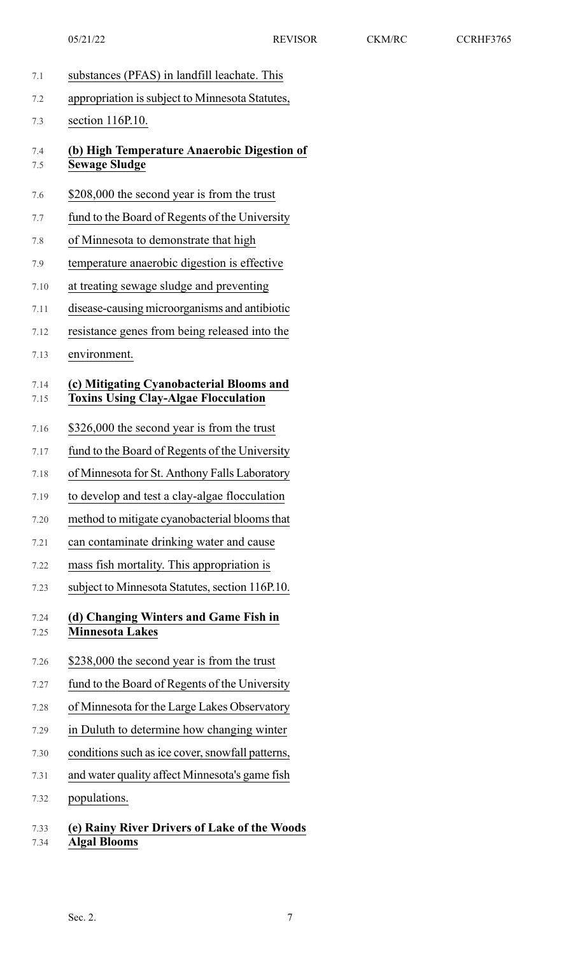| 7.1          | substances (PFAS) in landfill leachate. This                                            |
|--------------|-----------------------------------------------------------------------------------------|
| 7.2          | appropriation is subject to Minnesota Statutes,                                         |
| 7.3          | section 116P.10.                                                                        |
| 7.4<br>7.5   | (b) High Temperature Anaerobic Digestion of<br><b>Sewage Sludge</b>                     |
| 7.6          | \$208,000 the second year is from the trust                                             |
| 7.7          | fund to the Board of Regents of the University                                          |
| 7.8          | of Minnesota to demonstrate that high                                                   |
| 7.9          | temperature anaerobic digestion is effective                                            |
| 7.10         | at treating sewage sludge and preventing                                                |
| 7.11         | disease-causing microorganisms and antibiotic                                           |
| 7.12         | resistance genes from being released into the                                           |
| 7.13         | environment.                                                                            |
| 7.14<br>7.15 | (c) Mitigating Cyanobacterial Blooms and<br><b>Toxins Using Clay-Algae Flocculation</b> |
| 7.16         | \$326,000 the second year is from the trust                                             |
| 7.17         | fund to the Board of Regents of the University                                          |
| 7.18         | of Minnesota for St. Anthony Falls Laboratory                                           |
| 7.19         | to develop and test a clay-algae flocculation                                           |
| 7.20         | method to mitigate cyanobacterial blooms that                                           |
| 7.21         | can contaminate drinking water and cause                                                |
| 7.22         | mass fish mortality. This appropriation is                                              |
| 7.23         | subject to Minnesota Statutes, section 116P.10.                                         |
| 7.24<br>7.25 | (d) Changing Winters and Game Fish in<br><b>Minnesota Lakes</b>                         |
| 7.26         | \$238,000 the second year is from the trust                                             |
| 7.27         | fund to the Board of Regents of the University                                          |
| 7.28         | of Minnesota for the Large Lakes Observatory                                            |
| 7.29         | in Duluth to determine how changing winter                                              |
| 7.30         | conditions such as ice cover, snowfall patterns,                                        |
| 7.31         | and water quality affect Minnesota's game fish                                          |
| 7.32         | populations.                                                                            |
| 7.33         | (e) Rainy River Drivers of Lake of the Woods                                            |

7.34 **Algal Blooms**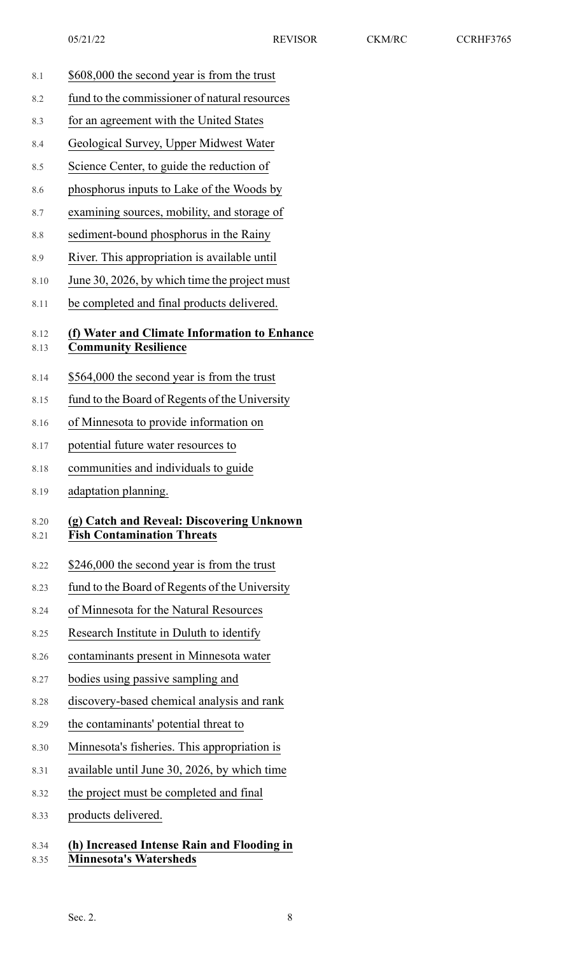8.1 \$608,000 the second year is from the trust

8.2 fund to the commissioner of natural resources 8.3 for an agreement with the United States 8.4 Geological Survey, Upper Midwest Water 8.5 Science Center, to guide the reduction of 8.6 phosphorus inputs to Lake of the Woods by 8.7 examining sources, mobility, and storage of 8.8 sediment-bound phosphorus in the Rainy 8.9 River. This appropriation is available until 8.10 June 30, 2026, by which time the project must 8.11 be completed and final products delivered. 8.12 **(f) Water and Climate Information to Enhance** 8.13 **Community Resilience** 8.14 \$564,000 the second year is from the trust 8.15 fund to the Board of Regents of the University 8.16 of Minnesota to provide information on 8.17 potential future water resources to 8.18 communities and individuals to guide 8.19 adaptation planning. 8.20 **(g) Catch and Reveal: Discovering Unknown** 8.21 **Fish Contamination Threats** 8.22 \$246,000 the second year is from the trust 8.23 fund to the Board of Regents of the University 8.24 of Minnesota for the Natural Resources 8.25 Research Institute in Duluth to identify 8.26 contaminants present in Minnesota water 8.27 bodies using passive sampling and 8.28 discovery-based chemical analysis and rank 8.29 the contaminants' potential threat to 8.30 Minnesota's fisheries. This appropriation is 8.31 available until June 30, 2026, by which time 8.32 the project must be completed and final 8.33 products delivered. 8.34 **(h) Increased Intense Rain and Flooding in** 8.35 **Minnesota's Watersheds** Sec. 2.  $8$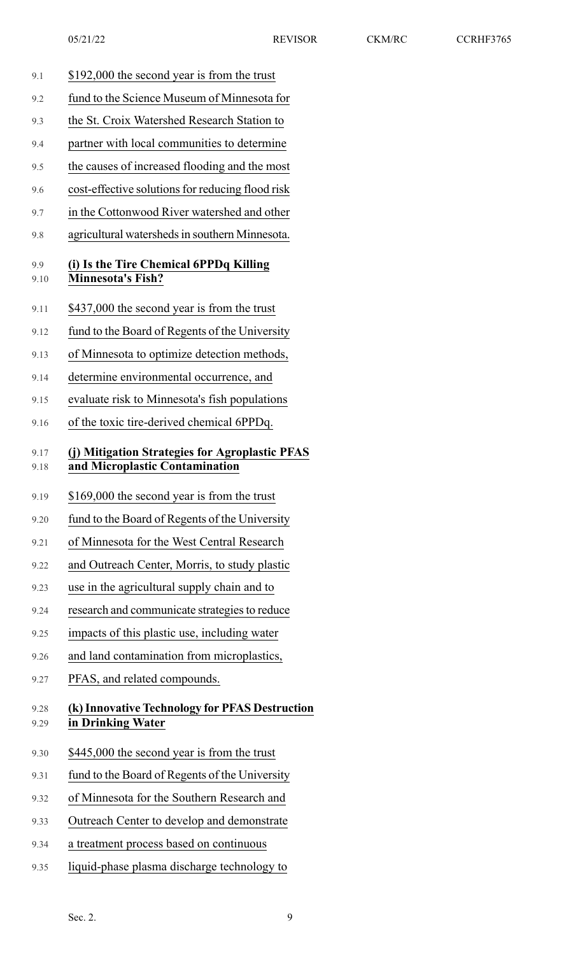| 9.1          | \$192,000 the second year is from the trust                                      |
|--------------|----------------------------------------------------------------------------------|
| 9.2          | fund to the Science Museum of Minnesota for                                      |
| 9.3          | the St. Croix Watershed Research Station to                                      |
| 9.4          | partner with local communities to determine                                      |
| 9.5          | the causes of increased flooding and the most                                    |
| 9.6          | cost-effective solutions for reducing flood risk                                 |
| 9.7          | in the Cottonwood River watershed and other                                      |
| 9.8          | agricultural watersheds in southern Minnesota.                                   |
| 9.9<br>9.10  | (i) Is the Tire Chemical 6PPDq Killing<br><b>Minnesota's Fish?</b>               |
| 9.11         | \$437,000 the second year is from the trust                                      |
| 9.12         | fund to the Board of Regents of the University                                   |
| 9.13         | of Minnesota to optimize detection methods,                                      |
| 9.14         | determine environmental occurrence, and                                          |
| 9.15         | evaluate risk to Minnesota's fish populations                                    |
| 9.16         | of the toxic tire-derived chemical 6PPDq.                                        |
| 9.17<br>9.18 | (j) Mitigation Strategies for Agroplastic PFAS<br>and Microplastic Contamination |
|              |                                                                                  |
| 9.19         | \$169,000 the second year is from the trust                                      |
| 9.20         | fund to the Board of Regents of the University                                   |
| 9.21         | of Minnesota for the West Central Research                                       |
| 9.22         | and Outreach Center, Morris, to study plastic                                    |
| 9.23         | use in the agricultural supply chain and to                                      |
| 9.24         | research and communicate strategies to reduce                                    |
| 9.25         | impacts of this plastic use, including water                                     |
| 9.26         | and land contamination from microplastics,                                       |
| 9.27         | PFAS, and related compounds.                                                     |
| 9.28<br>9.29 | (k) Innovative Technology for PFAS Destruction<br>in Drinking Water              |
| 9.30         | \$445,000 the second year is from the trust                                      |
| 9.31         | fund to the Board of Regents of the University                                   |
| 9.32         | of Minnesota for the Southern Research and                                       |
| 9.33         | Outreach Center to develop and demonstrate                                       |
| 9.34         | a treatment process based on continuous                                          |
| 9.35         | liquid-phase plasma discharge technology to                                      |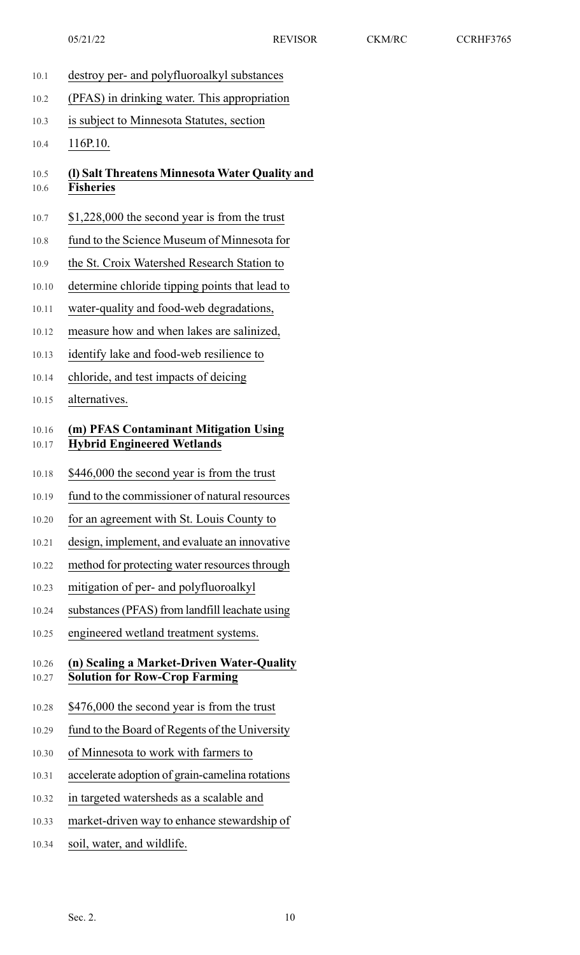- 10.1 destroy per- and polyfluoroalkyl substances
- 10.2 (PFAS) in drinking water. This appropriation
- 10.3 is subject to Minnesota Statutes, section

10.4 116P.10.

## 10.5 **(l) Salt Threatens Minnesota Water Quality and** 10.6 **Fisheries**

- 10.7 \$1,228,000 the second year is from the trust
- 10.8 fund to the Science Museum of Minnesota for
- 10.9 the St. Croix Watershed Research Station to
- 10.10 determine chloride tipping points that lead to
- 10.11 water-quality and food-web degradations,
- 10.12 measure how and when lakes are salinized,
- 10.13 identify lake and food-web resilience to
- 10.14 chloride, and test impacts of deicing
- 10.15 alternatives.

### 10.16 **(m) PFAS Contaminant Mitigation Using** 10.17 **Hybrid Engineered Wetlands**

- 10.18 \$446,000 the second year is from the trust
- 10.19 fund to the commissioner of natural resources
- 10.20 for an agreement with St. Louis County to
- 10.21 design, implement, and evaluate an innovative
- 10.22 method for protecting water resources through
- 10.23 mitigation of per- and polyfluoroalkyl
- 10.24 substances(PFAS) from landfill leachate using
- 10.25 engineered wetland treatment systems.

#### 10.26 **(n) Scaling a Market-Driven Water-Quality** 10.27 **Solution for Row-Crop Farming**

- 10.28 \$476,000 the second year is from the trust
- 10.29 fund to the Board of Regents of the University
- 10.30 of Minnesota to work with farmers to
- 10.31 accelerate adoption of grain-camelina rotations
- 10.32 in targeted watersheds as a scalable and
- 10.33 market-driven way to enhance stewardship of
- 10.34 soil, water, and wildlife.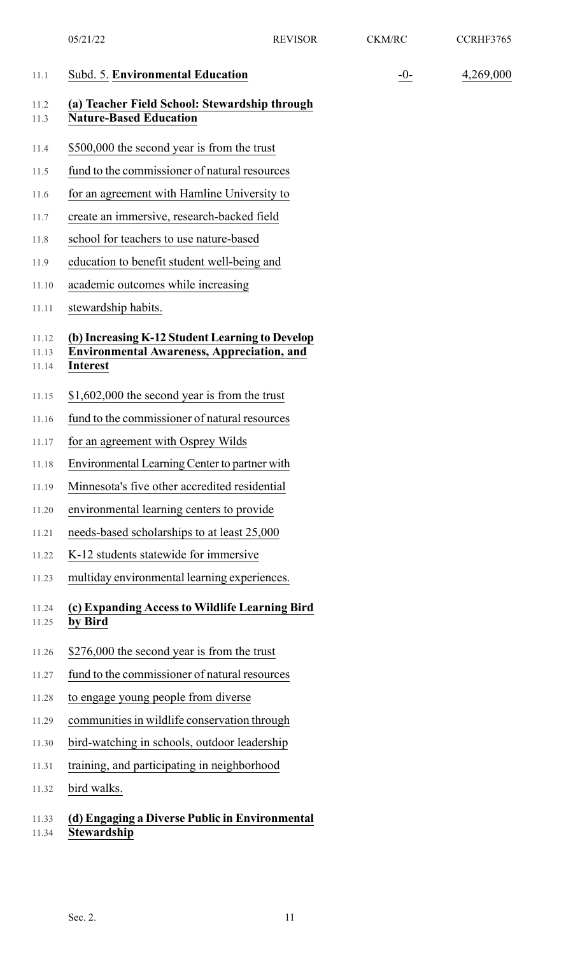|                         | 05/21/22                                                                                                                | <b>REVISOR</b> | <b>CKM/RC</b> | CCRHF3765 |
|-------------------------|-------------------------------------------------------------------------------------------------------------------------|----------------|---------------|-----------|
| 11.1                    | Subd. 5. Environmental Education                                                                                        |                | $-0-$         | 4,269,000 |
| 11.2<br>11.3            | (a) Teacher Field School: Stewardship through<br><b>Nature-Based Education</b>                                          |                |               |           |
| 11.4                    | \$500,000 the second year is from the trust                                                                             |                |               |           |
| 11.5                    | fund to the commissioner of natural resources                                                                           |                |               |           |
| 11.6                    | for an agreement with Hamline University to                                                                             |                |               |           |
| 11.7                    | create an immersive, research-backed field                                                                              |                |               |           |
| 11.8                    | school for teachers to use nature-based                                                                                 |                |               |           |
| 11.9                    | education to benefit student well-being and                                                                             |                |               |           |
| 11.10                   | academic outcomes while increasing                                                                                      |                |               |           |
| 11.11                   | stewardship habits.                                                                                                     |                |               |           |
| 11.12<br>11.13<br>11.14 | (b) Increasing K-12 Student Learning to Develop<br><b>Environmental Awareness, Appreciation, and</b><br><b>Interest</b> |                |               |           |
| 11.15                   | $$1,602,000$ the second year is from the trust                                                                          |                |               |           |
| 11.16                   | fund to the commissioner of natural resources                                                                           |                |               |           |
| 11.17                   | for an agreement with Osprey Wilds                                                                                      |                |               |           |
| 11.18                   | Environmental Learning Center to partner with                                                                           |                |               |           |
| 11.19                   | Minnesota's five other accredited residential                                                                           |                |               |           |
| 11.20                   | environmental learning centers to provide                                                                               |                |               |           |
| 11.21                   | needs-based scholarships to at least 25,000                                                                             |                |               |           |
| 11.22                   | K-12 students statewide for immersive                                                                                   |                |               |           |
| 11.23                   | multiday environmental learning experiences.                                                                            |                |               |           |
| 11.24<br>11.25          | (c) Expanding Access to Wildlife Learning Bird<br>by Bird                                                               |                |               |           |
| 11.26                   | \$276,000 the second year is from the trust                                                                             |                |               |           |
| 11.27                   | fund to the commissioner of natural resources                                                                           |                |               |           |
| 11.28                   | to engage young people from diverse                                                                                     |                |               |           |
| 11.29                   | communities in wildlife conservation through                                                                            |                |               |           |
| 11.30                   | bird-watching in schools, outdoor leadership                                                                            |                |               |           |
| 11.31                   | training, and participating in neighborhood                                                                             |                |               |           |
| 11.32                   | bird walks.                                                                                                             |                |               |           |
| 11.33<br>11.34          | (d) Engaging a Diverse Public in Environmental<br>Stewardship                                                           |                |               |           |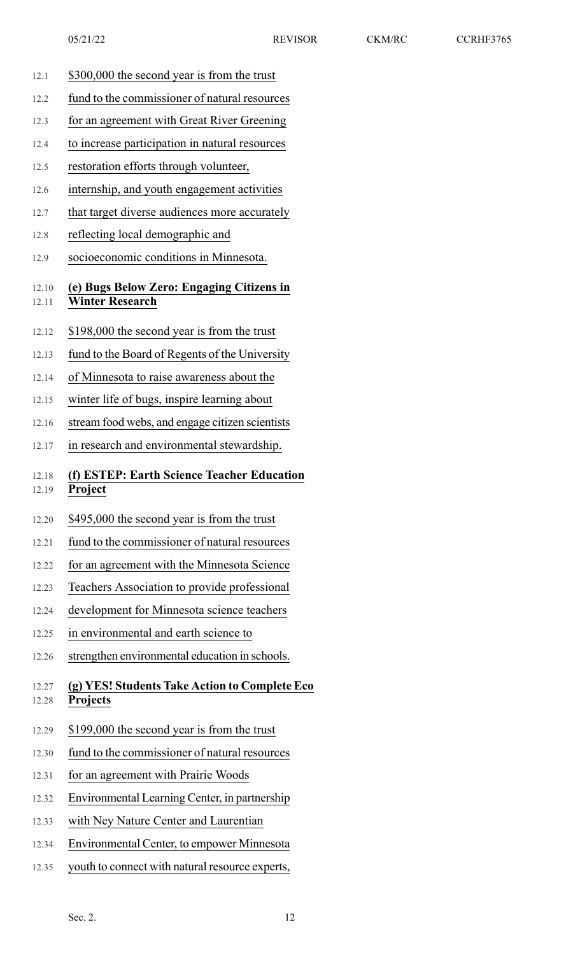- 12.1 \$300,000 the second year is from the trust
- 12.2 fund to the commissioner of natural resources
- 12.3 for an agreement with Great River Greening
- 12.4 to increase participation in natural resources
- 12.5 restoration efforts through volunteer,
- 12.6 internship, and youth engagement activities
- 12.7 that target diverse audiences more accurately
- 12.8 reflecting local demographic and
- 12.9 socioeconomic conditions in Minnesota.

## 12.10 **(e) Bugs Below Zero: Engaging Citizens in** 12.11 **Winter Research**

- 12.12 \$198,000 the second year is from the trust
- 12.13 fund to the Board of Regents of the University
- 12.14 of Minnesota to raise awareness about the
- 12.15 winter life of bugs, inspire learning about
- 12.16 stream food webs, and engage citizen scientists
- 12.17 in research and environmental stewardship.

### 12.18 **(f) ESTEP: Earth Science Teacher Education** 12.19 **Project**

- 12.20 \$495,000 the second year is from the trust
- 12.21 fund to the commissioner of natural resources
- 12.22 for an agreement with the Minnesota Science
- 12.23 Teachers Association to provide professional
- 12.24 development for Minnesota science teachers
- 12.25 in environmental and earth science to
- 12.26 strengthen environmental education in schools.

#### 12.27 **(g) YES! Students Take Action to Complete Eco** 12.28 **Projects**

- 12.29 \$199,000 the second year is from the trust
- 12.30 fund to the commissioner of natural resources
- 12.31 for an agreement with Prairie Woods
- 12.32 Environmental Learning Center, in partnership
- 12.33 with Ney Nature Center and Laurentian
- 12.34 Environmental Center, to empower Minnesota
- 12.35 youth to connect with natural resource experts,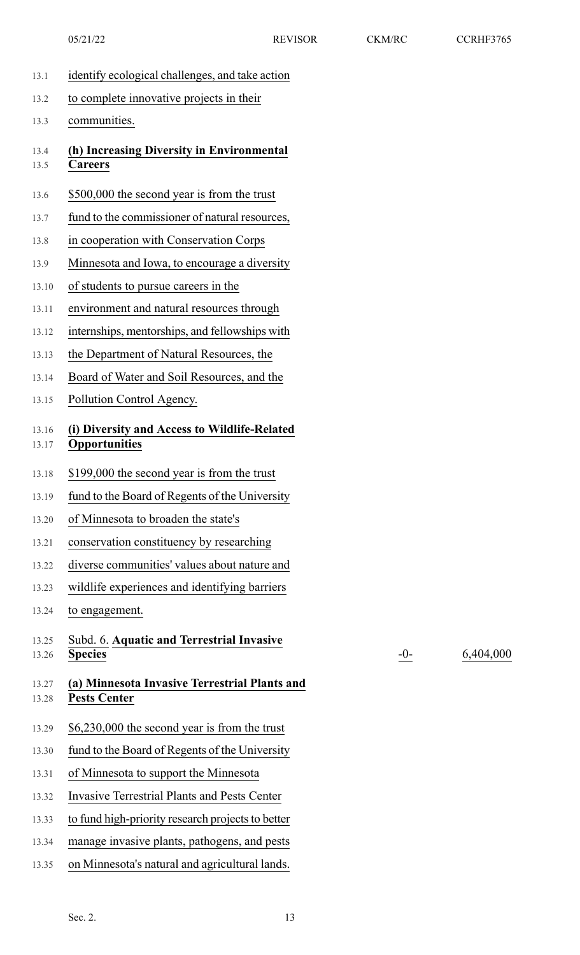- 13.1 identify ecological challenges, and take action
- 13.2 to complete innovative projects in their

13.3 communities.

- 13.4 **(h) Increasing Diversity in Environmental** 13.5 **Careers**
- 13.6 \$500,000 the second year is from the trust
- 13.7 fund to the commissioner of natural resources,
- 13.8 in cooperation with Conservation Corps
- 13.9 Minnesota and Iowa, to encourage a diversity
- 13.10 of students to pursue careers in the
- 13.11 environment and natural resources through
- 13.12 internships, mentorships, and fellowships with
- 13.13 the Department of Natural Resources, the
- 13.14 Board of Water and Soil Resources, and the
- 13.15 Pollution Control Agency.

### 13.16 **(i) Diversity and Access to Wildlife-Related** 13.17 **Opportunities**

- 13.18 \$199,000 the second year is from the trust
- 13.19 fund to the Board of Regents of the University
- 13.20 of Minnesota to broaden the state's
- 13.21 conservation constituency by researching
- 13.22 diverse communities' values about nature and
- 13.23 wildlife experiences and identifying barriers
- 13.24 to engagement.
- 13.25 Subd. 6. **Aquatic and Terrestrial Invasive** 13.26 **Species**
- 13.27 **(a) Minnesota Invasive Terrestrial Plants and** 13.28 **Pests Center**
- 13.29 \$6,230,000 the second year is from the trust
- 13.30 fund to the Board of Regents of the University
- 13.31 of Minnesota to support the Minnesota
- 13.32 Invasive Terrestrial Plants and Pests Center
- 13.33 to fund high-priority research projects to better
- 13.34 manage invasive plants, pathogens, and pests
- 13.35 on Minnesota's natural and agricultural lands.

-0- 6,404,000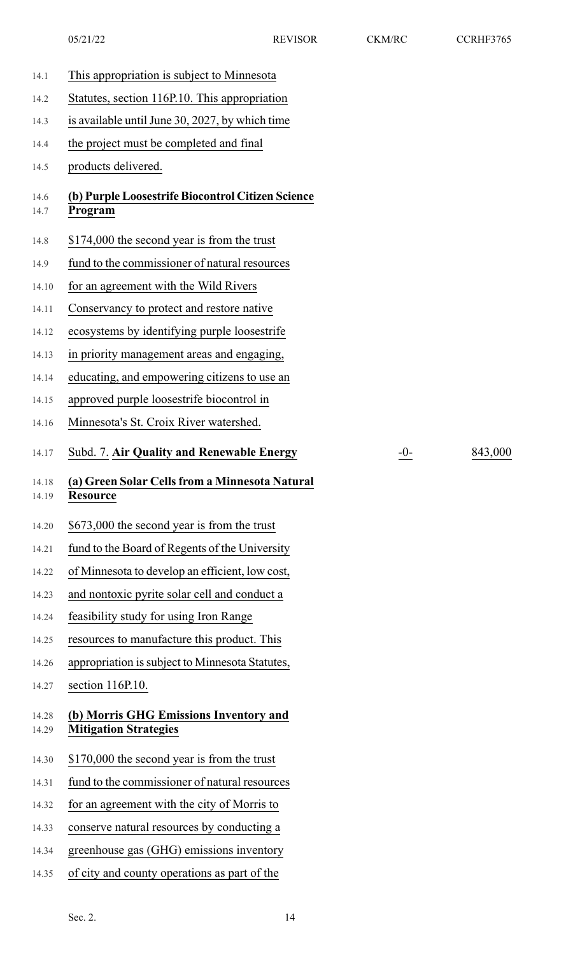14.1 This appropriation is subject to Minnesota 14.2 Statutes, section 116P.10. This appropriation 14.3 is available until June 30, 2027, by which time 14.4 the project must be completed and final 14.5 products delivered. 14.6 **(b) Purple Loosestrife Biocontrol Citizen Science** 14.7 **Program** 14.8 \$174,000 the second year is from the trust 14.9 fund to the commissioner of natural resources 14.10 for an agreement with the Wild Rivers 14.11 Conservancy to protect and restore native 14.12 ecosystems by identifying purple loosestrife 14.13 in priority management areas and engaging, 14.14 educating, and empowering citizens to use an 14.15 approved purple loosestrife biocontrol in 14.16 Minnesota's St. Croix River watershed. 14.17 Subd. 7. **Air Quality and Renewable Energy** -0- 843,000 14.18 **(a) Green Solar Cellsfrom a Minnesota Natural** 14.19 **Resource** 14.20 \$673,000 the second year is from the trust 14.21 fund to the Board of Regents of the University 14.22 of Minnesota to develop an efficient, low cost, 14.23 and nontoxic pyrite solar cell and conduct a 14.24 feasibility study for using Iron Range 14.25 resources to manufacture this product. This 14.26 appropriation is subject to Minnesota Statutes, 14.27 section 116P.10. 14.28 **(b) Morris GHG Emissions Inventory and** 14.29 **Mitigation Strategies** 14.30 \$170,000 the second year is from the trust 14.31 fund to the commissioner of natural resources 14.32 for an agreement with the city of Morris to 14.33 conserve natural resources by conducting a 14.34 greenhouse gas (GHG) emissions inventory 14.35 of city and county operations as part of the 05/21/22 REVISOR CKM/RC CCRHF3765

Sec. 2.  $14$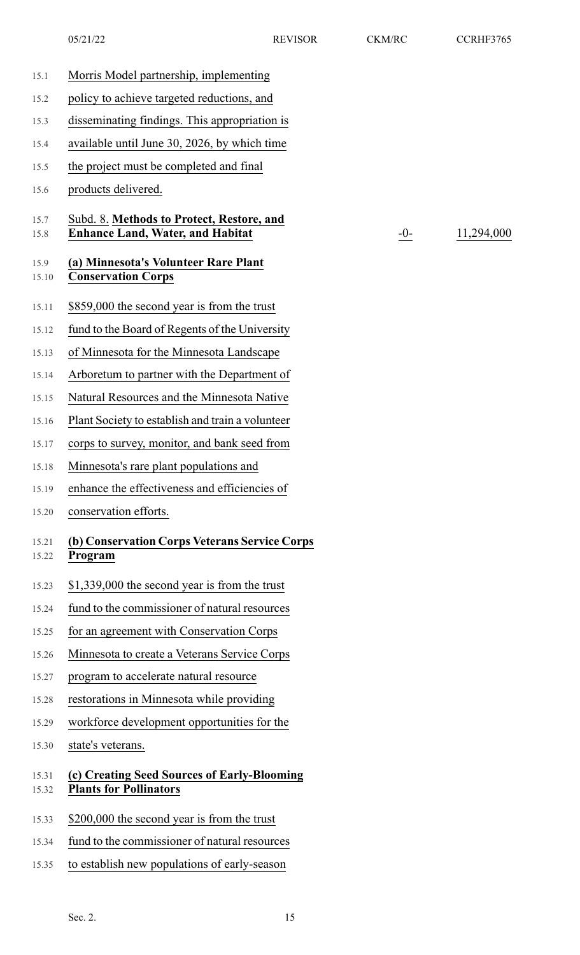| 15.1           | Morris Model partnership, implementing                                               |
|----------------|--------------------------------------------------------------------------------------|
| 15.2           | policy to achieve targeted reductions, and                                           |
| 15.3           | disseminating findings. This appropriation is                                        |
| 15.4           | available until June 30, 2026, by which time                                         |
| 15.5           | the project must be completed and final                                              |
| 15.6           | products delivered.                                                                  |
| 15.7<br>15.8   | Subd. 8. Methods to Protect, Restore, and<br><b>Enhance Land, Water, and Habitat</b> |
| 15.9<br>15.10  | (a) Minnesota's Volunteer Rare Plant<br><b>Conservation Corps</b>                    |
| 15.11          | \$859,000 the second year is from the trust                                          |
| 15.12          | fund to the Board of Regents of the University                                       |
| 15.13          | of Minnesota for the Minnesota Landscape                                             |
| 15.14          | Arboretum to partner with the Department of                                          |
| 15.15          | Natural Resources and the Minnesota Native                                           |
| 15.16          | Plant Society to establish and train a volunteer                                     |
| 15.17          | corps to survey, monitor, and bank seed from                                         |
| 15.18          | Minnesota's rare plant populations and                                               |
| 15.19          | enhance the effectiveness and efficiencies of                                        |
| 15.20          | conservation efforts.                                                                |
| 15.21<br>15.22 | (b) Conservation Corps Veterans Service Corps<br>Program                             |
| 15.23          | \$1,339,000 the second year is from the trust                                        |
| 15.24          | fund to the commissioner of natural resources                                        |
| 15.25          | for an agreement with Conservation Corps                                             |
| 15.26          | Minnesota to create a Veterans Service Corps                                         |
| 15.27          | program to accelerate natural resource                                               |
| 15.28          | restorations in Minnesota while providing                                            |
| 15.29          | workforce development opportunities for the                                          |
| 15.30          | state's veterans.                                                                    |
| 15.31<br>15.32 | (c) Creating Seed Sources of Early-Blooming<br><b>Plants for Pollinators</b>         |
| 15.33          | \$200,000 the second year is from the trust                                          |
| 15.34          | fund to the commissioner of natural resources                                        |
| 15.35          | to establish new populations of early-season                                         |

 $-0$ - $\frac{11,294,000}{ }$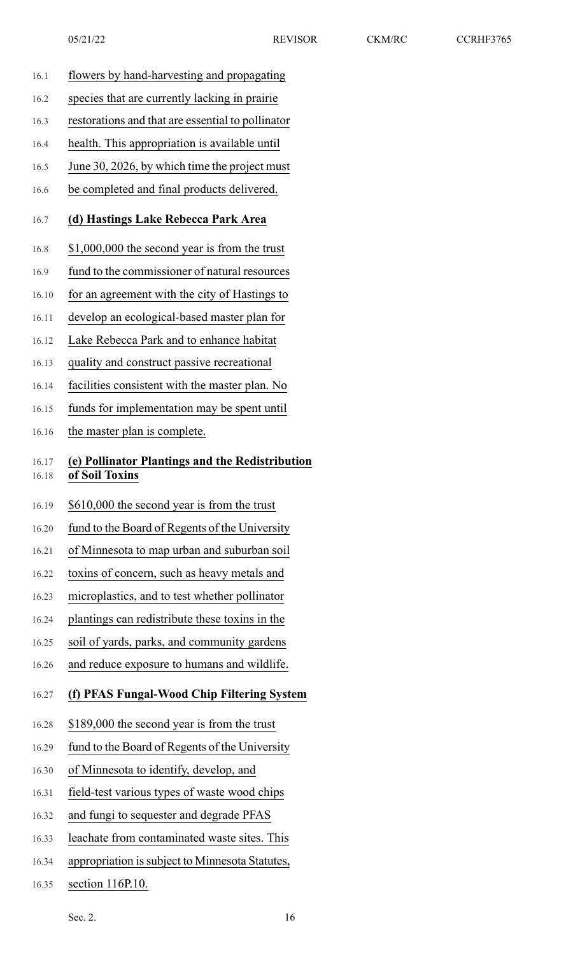- 16.1 flowers by hand-harvesting and propagating 16.2 species that are currently lacking in prairie 16.3 restorations and that are essential to pollinator 16.4 health. This appropriation is available until 16.5 June 30, 2026, by which time the project must 16.6 be completed and final products delivered. 16.7 **(d) Hastings Lake Rebecca Park Area** 16.8 \$1,000,000 the second year is from the trust 16.9 fund to the commissioner of natural resources 16.10 for an agreement with the city of Hastings to 16.11 develop an ecological-based master plan for 16.12 Lake Rebecca Park and to enhance habitat 16.13 quality and construct passive recreational 16.14 facilities consistent with the master plan. No 16.15 funds for implementation may be spent until 16.16 the master plan is complete. 16.17 **(e) Pollinator Plantings and the Redistribution** 16.18 **of Soil Toxins** 16.19 \$610,000 the second year is from the trust 16.20 fund to the Board of Regents of the University 16.21 of Minnesota to map urban and suburban soil 16.22 toxins of concern, such as heavy metals and 16.23 microplastics, and to test whether pollinator 16.24 plantings can redistribute these toxins in the 16.25 soil of yards, parks, and community gardens 16.26 and reduce exposure to humans and wildlife. 16.27 **(f) PFAS Fungal-Wood Chip Filtering System** 16.28 \$189,000 the second year is from the trust 16.29 fund to the Board of Regents of the University 16.30 of Minnesota to identify, develop, and 16.31 field-test various types of waste wood chips 16.32 and fungi to sequester and degrade PFAS 16.33 leachate from contaminated waste sites. This
- 16.34 appropriation is subject to Minnesota Statutes,
- 16.35 section 116P.10.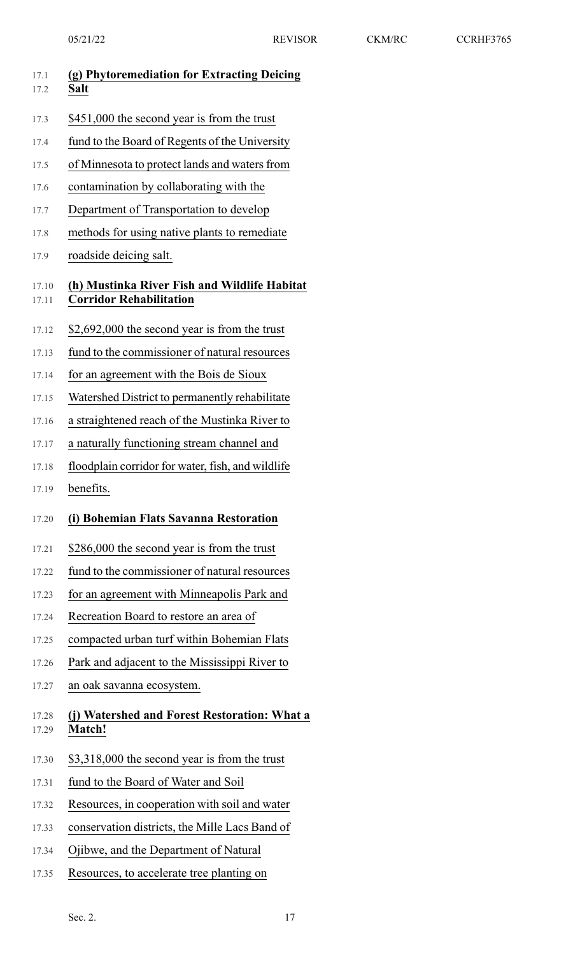| 17.1<br>17.2   | (g) Phytoremediation for Extracting Deicing<br>Salt                            |
|----------------|--------------------------------------------------------------------------------|
| 17.3           | \$451,000 the second year is from the trust                                    |
| 17.4           | fund to the Board of Regents of the University                                 |
| 17.5           | of Minnesota to protect lands and waters from                                  |
| 17.6           | contamination by collaborating with the                                        |
| 17.7           | Department of Transportation to develop                                        |
| 17.8           | methods for using native plants to remediate                                   |
| 17.9           | roadside deicing salt.                                                         |
| 17.10<br>17.11 | (h) Mustinka River Fish and Wildlife Habitat<br><b>Corridor Rehabilitation</b> |
| 17.12          | \$2,692,000 the second year is from the trust                                  |
| 17.13          | fund to the commissioner of natural resources                                  |
| 17.14          | for an agreement with the Bois de Sioux                                        |
| 17.15          | Watershed District to permanently rehabilitate                                 |
| 17.16          | a straightened reach of the Mustinka River to                                  |
| 17.17          | a naturally functioning stream channel and                                     |
| 17.18          | floodplain corridor for water, fish, and wildlife                              |
| 17.19          | benefits.                                                                      |
| 17.20          | (i) Bohemian Flats Savanna Restoration                                         |
| 17.21          | \$286,000 the second year is from the trust                                    |
| 17.22          | fund to the commissioner of natural resources                                  |
| 17.23          | for an agreement with Minneapolis Park and                                     |
| 17.24          | Recreation Board to restore an area of                                         |
| 17.25          | compacted urban turf within Bohemian Flats                                     |
| 17.26          | Park and adjacent to the Mississippi River to                                  |
| 17.27          | an oak savanna ecosystem.                                                      |
| 17.28<br>17.29 | (j) Watershed and Forest Restoration: What a<br><b>Match!</b>                  |
| 17.30          | \$3,318,000 the second year is from the trust                                  |
| 17.31          | fund to the Board of Water and Soil                                            |
| 17.32          | Resources, in cooperation with soil and water                                  |
| 17.33          | conservation districts, the Mille Lacs Band of                                 |
| 17.34          | Ojibwe, and the Department of Natural                                          |
| 17.35          | Resources, to accelerate tree planting on                                      |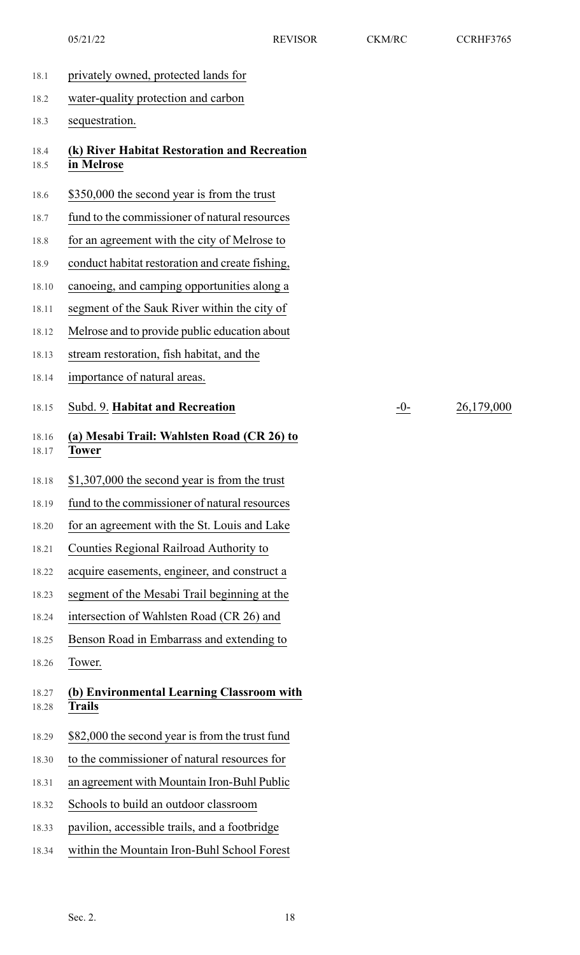- 18.1 privately owned, protected lands for
- 18.2 water-quality protection and carbon
- 18.3 sequestration.
- 18.4 **(k) River Habitat Restoration and Recreation** 18.5 **in Melrose**
- 18.6 \$350,000 the second year is from the trust
- 18.7 fund to the commissioner of natural resources
- 18.8 for an agreement with the city of Melrose to
- 18.9 conduct habitat restoration and create fishing,
- 18.10 canoeing, and camping opportunities along a
- 18.11 segment of the Sauk River within the city of
- 18.12 Melrose and to provide public education about
- 18.13 stream restoration, fish habitat, and the
- 18.14 importance of natural areas.

18.15 Subd. 9. **Habitat and Recreation** -0- 26,179,000

- 18.16 **(a) Mesabi Trail: Wahlsten Road (CR 26) to** 18.17 **Tower**
- 18.18 \$1,307,000 the second year is from the trust
- 18.19 fund to the commissioner of natural resources
- 18.20 for an agreement with the St. Louis and Lake
- 18.21 Counties Regional Railroad Authority to
- 18.22 acquire easements, engineer, and construct a
- 18.23 segment of the Mesabi Trail beginning at the
- 18.24 intersection of Wahlsten Road (CR 26) and
- 18.25 Benson Road in Embarrass and extending to
- 18.26 Tower.
- 18.27 **(b) Environmental Learning Classroom with** 18.28 **Trails**
- 18.29 \$82,000 the second year is from the trust fund
- 18.30 to the commissioner of natural resources for
- 18.31 an agreement with Mountain Iron-Buhl Public
- 18.32 Schools to build an outdoor classroom
- 18.33 pavilion, accessible trails, and a footbridge
- 18.34 within the Mountain Iron-Buhl School Forest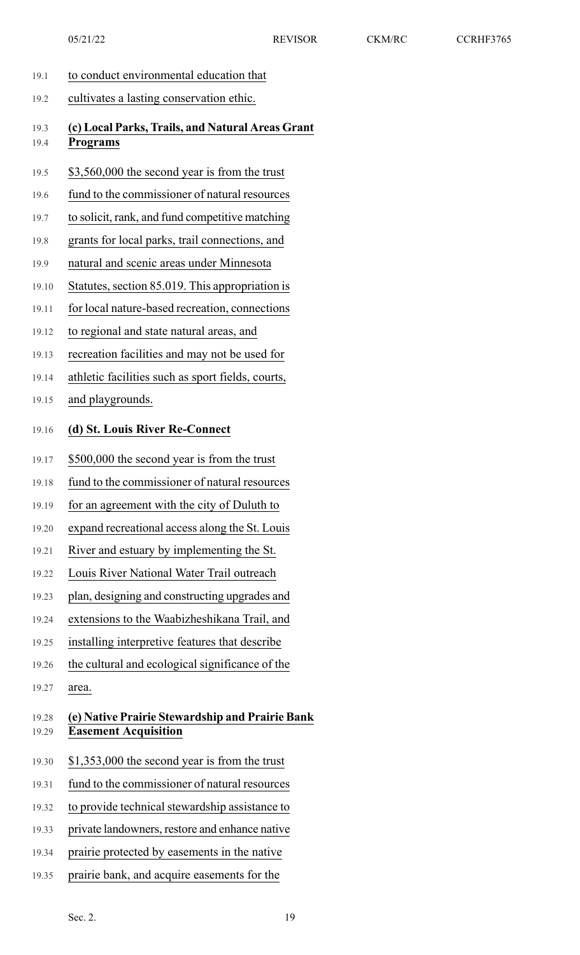19.1 to conduct environmental education that 19.2 cultivates a lasting conservation ethic. 19.3 **(c) Local Parks, Trails, and Natural Areas Grant** 19.4 **Programs** 19.5 \$3,560,000 the second year is from the trust 19.6 fund to the commissioner of natural resources 19.7 to solicit, rank, and fund competitive matching 19.8 grants for local parks, trail connections, and 19.9 natural and scenic areas under Minnesota 19.10 Statutes, section 85.019. This appropriation is 19.11 for local nature-based recreation, connections 19.12 to regional and state natural areas, and 19.13 recreation facilities and may not be used for 19.14 athletic facilities such as sport fields, courts, 19.15 and playgrounds. 19.16 **(d) St. Louis River Re-Connect** 19.17 \$500,000 the second year is from the trust 19.18 fund to the commissioner of natural resources 19.19 for an agreement with the city of Duluth to 19.20 expand recreational access along the St. Louis 19.21 River and estuary by implementing the St. 19.22 Louis River National Water Trail outreach 19.23 plan, designing and constructing upgrades and 19.24 extensions to the Waabizheshikana Trail, and 19.25 installing interpretive features that describe 19.26 the cultural and ecological significance of the 19.27 area. 19.28 **(e) Native Prairie Stewardship and Prairie Bank** 19.29 **Easement Acquisition** 19.30 \$1,353,000 the second year is from the trust 19.31 fund to the commissioner of natural resources 19.32 to provide technical stewardship assistance to 19.33 private landowners, restore and enhance native 19.34 prairie protected by easements in the native 19.35 prairie bank, and acquire easements for the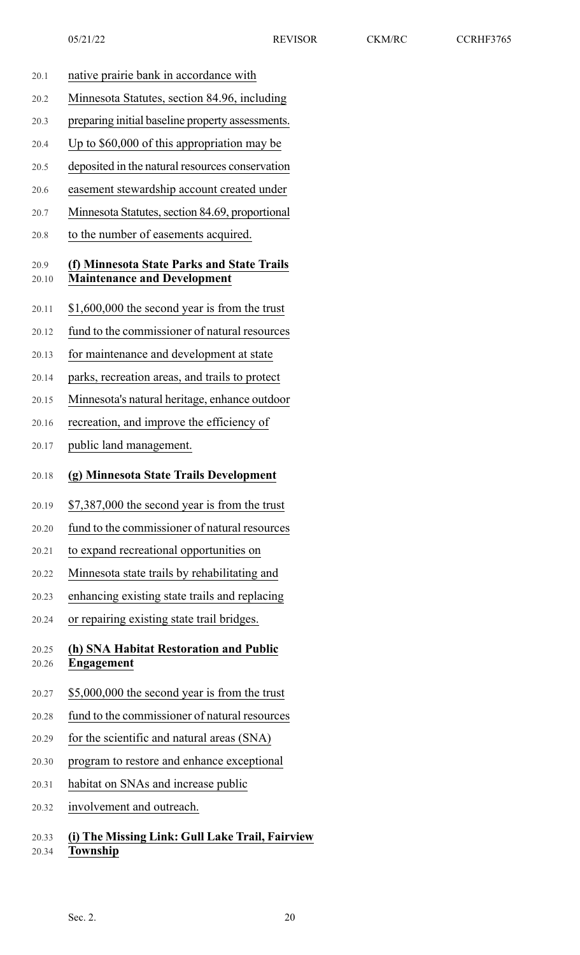- 20.1 native prairie bank in accordance with
- 20.2 Minnesota Statutes, section 84.96, including
- 20.3 preparing initial baseline property assessments.
- 20.4 Up to \$60,000 of this appropriation may be
- 20.5 deposited in the natural resources conservation
- 20.6 easement stewardship account created under
- 20.7 Minnesota Statutes, section 84.69, proportional
- 20.8 to the number of easements acquired.

### 20.9 **(f) Minnesota State Parks and State Trails** 20.10 **Maintenance and Development**

- 20.11 \$1,600,000 the second year is from the trust
- 20.12 fund to the commissioner of natural resources
- 20.13 for maintenance and development at state
- 20.14 parks, recreation areas, and trails to protect
- 20.15 Minnesota's natural heritage, enhance outdoor
- 20.16 recreation, and improve the efficiency of
- 20.17 public land management.
- 20.18 **(g) Minnesota State Trails Development**
- 20.19 \$7,387,000 the second year is from the trust
- 20.20 fund to the commissioner of natural resources
- 20.21 to expand recreational opportunities on
- 20.22 Minnesota state trails by rehabilitating and
- 20.23 enhancing existing state trails and replacing
- 20.24 or repairing existing state trail bridges.

### 20.25 **(h) SNA Habitat Restoration and Public** 20.26 **Engagement**

- 20.27 \$5,000,000 the second year is from the trust
- 20.28 fund to the commissioner of natural resources
- 20.29 for the scientific and natural areas (SNA)
- 20.30 program to restore and enhance exceptional
- 20.31 habitat on SNAs and increase public
- 20.32 involvement and outreach.

### 20.33 **(i) The Missing Link: Gull Lake Trail, Fairview** 20.34 **Township**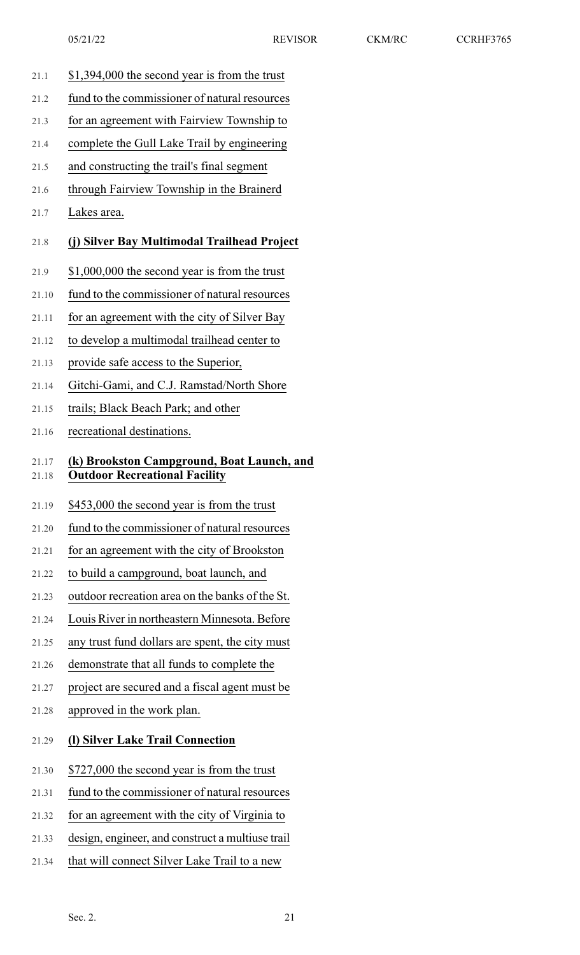- 21.1 \$1,394,000 the second year is from the trust
- 21.2 fund to the commissioner of natural resources
- 21.3 for an agreement with Fairview Township to
- 21.4 complete the Gull Lake Trail by engineering
- 21.5 and constructing the trail's final segment
- 21.6 through Fairview Township in the Brainerd
- 21.7 Lakes area.

#### 21.8 **(j) Silver Bay Multimodal Trailhead Project**

- 21.9 \$1,000,000 the second year is from the trust
- 21.10 fund to the commissioner of natural resources
- 21.11 for an agreement with the city of Silver Bay
- 21.12 to develop a multimodal trailhead center to
- 21.13 provide safe access to the Superior,
- 21.14 Gitchi-Gami, and C.J. Ramstad/North Shore
- 21.15 trails; Black Beach Park; and other
- 21.16 recreational destinations.

### 21.17 **(k) Brookston Campground, Boat Launch, and** 21.18 **Outdoor Recreational Facility**

- 21.19 \$453,000 the second year is from the trust
- 21.20 fund to the commissioner of natural resources
- 21.21 for an agreement with the city of Brookston
- 21.22 to build a campground, boat launch, and
- 21.23 outdoor recreation area on the banks of the St.
- 21.24 Louis River in northeastern Minnesota. Before
- 21.25 any trust fund dollars are spent, the city must
- 21.26 demonstrate that all funds to complete the
- 21.27 project are secured and a fiscal agent must be
- 21.28 approved in the work plan.

## 21.29 **(l) Silver Lake Trail Connection**

- 21.30 \$727,000 the second year is from the trust
- 21.31 fund to the commissioner of natural resources
- 21.32 for an agreement with the city of Virginia to
- 21.33 design, engineer, and construct a multiuse trail
- 21.34 that will connect Silver Lake Trail to a new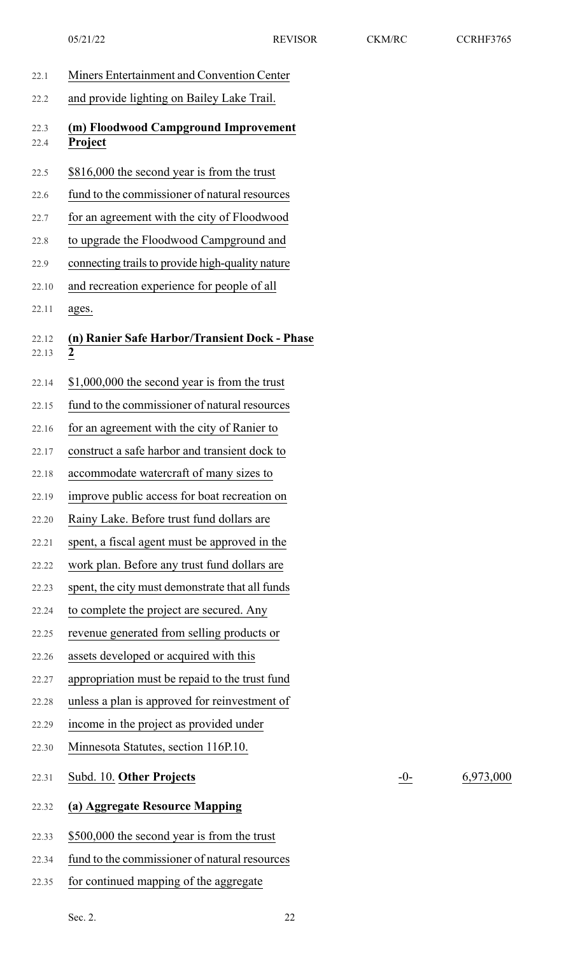| 22.1           | Miners Entertainment and Convention Center                      |
|----------------|-----------------------------------------------------------------|
| 22.2           | and provide lighting on Bailey Lake Trail.                      |
| 22.3<br>22.4   | (m) Floodwood Campground Improvement<br><b>Project</b>          |
| 22.5           | \$816,000 the second year is from the trust                     |
| 22.6           | fund to the commissioner of natural resources                   |
| 22.7           | for an agreement with the city of Floodwood                     |
| 22.8           | to upgrade the Floodwood Campground and                         |
| 22.9           | connecting trails to provide high-quality nature                |
| 22.10          | and recreation experience for people of all                     |
| 22.11          | ages.                                                           |
| 22.12<br>22.13 | (n) Ranier Safe Harbor/Transient Dock - Phase<br>$\overline{2}$ |
| 22.14          | \$1,000,000 the second year is from the trust                   |
| 22.15          | fund to the commissioner of natural resources                   |
| 22.16          | for an agreement with the city of Ranier to                     |
| 22.17          | construct a safe harbor and transient dock to                   |
| 22.18          | accommodate watercraft of many sizes to                         |
| 22.19          | improve public access for boat recreation on                    |
| 22.20          | Rainy Lake. Before trust fund dollars are                       |
| 22.21          | spent, a fiscal agent must be approved in the                   |
| 22.22          | work plan. Before any trust fund dollars are                    |
| 22.23          | spent, the city must demonstrate that all funds                 |
| 22.24          | to complete the project are secured. Any                        |
| 22.25          | revenue generated from selling products or                      |
| 22.26          | assets developed or acquired with this                          |
| 22.27          | appropriation must be repaid to the trust fund                  |
| 22.28          | unless a plan is approved for reinvestment of                   |
| 22.29          | income in the project as provided under                         |
| 22.30          | Minnesota Statutes, section 116P.10.                            |
| 22.31          | Subd. 10. Other Projects                                        |
| 22.32          | (a) Aggregate Resource Mapping                                  |
| 22.33          | \$500,000 the second year is from the trust                     |
| 22.34          | fund to the commissioner of natural resources                   |
| 22.35          | for continued mapping of the aggregate                          |

22.31 Subd. 10. **Other Projects** -0- 6,973,000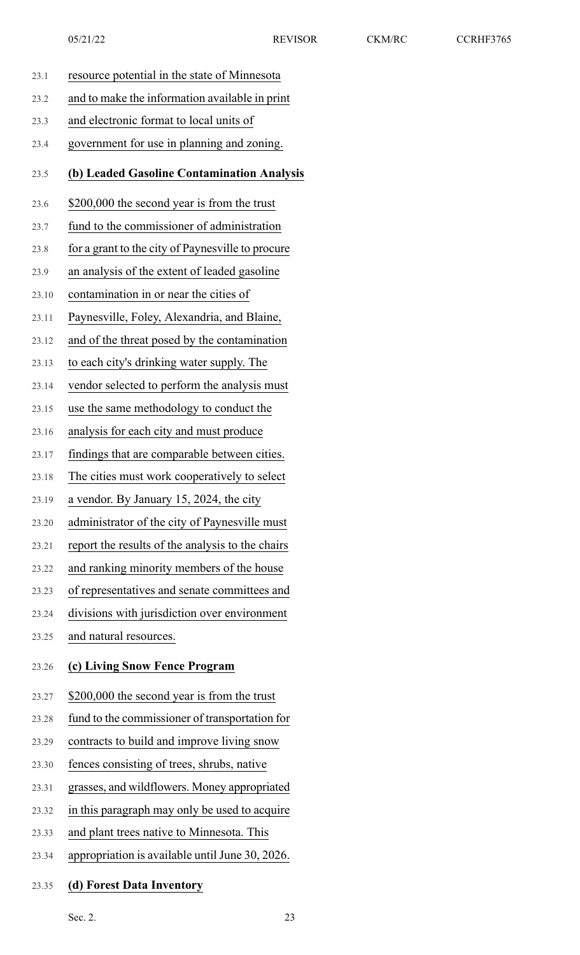| 23.1  | resource potential in the state of Minnesota      |
|-------|---------------------------------------------------|
| 23.2  | and to make the information available in print    |
| 23.3  | and electronic format to local units of           |
| 23.4  | government for use in planning and zoning.        |
| 23.5  | (b) Leaded Gasoline Contamination Analysis        |
| 23.6  | \$200,000 the second year is from the trust       |
| 23.7  | fund to the commissioner of administration        |
| 23.8  | for a grant to the city of Paynesville to procure |
| 23.9  | an analysis of the extent of leaded gasoline      |
| 23.10 | contamination in or near the cities of            |
| 23.11 | Paynesville, Foley, Alexandria, and Blaine,       |
| 23.12 | and of the threat posed by the contamination      |
| 23.13 | to each city's drinking water supply. The         |
| 23.14 | vendor selected to perform the analysis must      |
| 23.15 | use the same methodology to conduct the           |
| 23.16 | analysis for each city and must produce           |
| 23.17 | findings that are comparable between cities.      |
| 23.18 | The cities must work cooperatively to select      |
| 23.19 | a vendor. By January 15, 2024, the city           |
| 23.20 | administrator of the city of Paynesville must     |
| 23.21 | report the results of the analysis to the chairs  |
| 23.22 | and ranking minority members of the house         |
| 23.23 | of representatives and senate committees and      |
| 23.24 | divisions with jurisdiction over environment      |
| 23.25 | and natural resources.                            |
| 23.26 | (c) Living Snow Fence Program                     |
| 23.27 | \$200,000 the second year is from the trust       |
| 23.28 | fund to the commissioner of transportation for    |
| 23.29 | contracts to build and improve living snow        |
| 23.30 | fences consisting of trees, shrubs, native        |
| 23.31 | grasses, and wildflowers. Money appropriated      |
| 23.32 | in this paragraph may only be used to acquire     |
| 23.33 | and plant trees native to Minnesota. This         |
| 23.34 | appropriation is available until June 30, 2026.   |

## 23.35 **(d) Forest Data Inventory**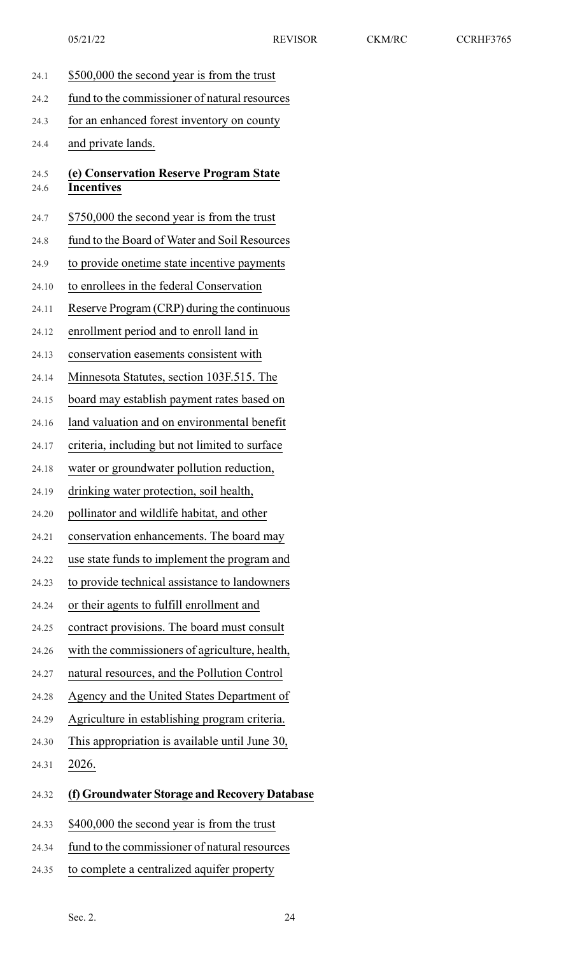24.1 \$500,000 the second year is from the trust 24.2 fund to the commissioner of natural resources 24.3 for an enhanced forest inventory on county 24.4 and private lands. 24.5 **(e) Conservation Reserve Program State** 24.6 **Incentives** 24.7 \$750,000 the second year is from the trust 24.8 fund to the Board of Water and Soil Resources 24.9 to provide onetime state incentive payments 24.10 to enrollees in the federal Conservation 24.11 Reserve Program (CRP) during the continuous 24.12 enrollment period and to enroll land in 24.13 conservation easements consistent with 24.14 Minnesota Statutes, section 103F.515. The 24.15 board may establish payment rates based on 24.16 land valuation and on environmental benefit 24.17 criteria, including but not limited to surface 24.18 water or groundwater pollution reduction, 24.19 drinking water protection, soil health, 24.20 pollinator and wildlife habitat, and other 24.21 conservation enhancements. The board may 24.22 use state funds to implement the program and 24.23 to provide technical assistance to landowners 24.24 or their agents to fulfill enrollment and 24.25 contract provisions. The board must consult 24.26 with the commissioners of agriculture, health, 24.27 natural resources, and the Pollution Control 24.28 Agency and the United States Department of 24.29 Agriculture in establishing program criteria. 24.30 This appropriation is available until June 30, 24.31 2026. 24.32 **(f) Groundwater Storage and Recovery Database** 24.33 \$400,000 the second year is from the trust 24.34 fund to the commissioner of natural resources 24.35 to complete a centralized aquifer property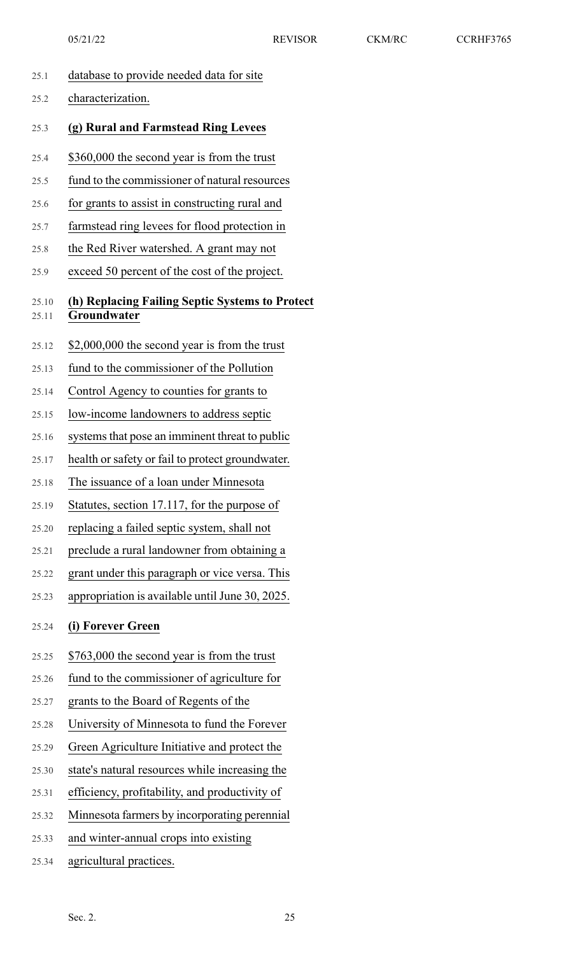25.1 database to provide needed data for site 25.2 characterization. 25.3 **(g) Rural and Farmstead Ring Levees** 25.4 \$360,000 the second year is from the trust 25.5 fund to the commissioner of natural resources 25.6 for grants to assist in constructing rural and 25.7 farmstead ring levees for flood protection in 25.8 the Red River watershed. A grant may not 25.9 exceed 50 percent of the cost of the project. 25.10 **(h) Replacing Failing Septic Systems to Protect** 25.11 **Groundwater** 25.12 \$2,000,000 the second year is from the trust 25.13 fund to the commissioner of the Pollution 25.14 Control Agency to counties for grants to 25.15 low-income landowners to address septic 25.16 systems that pose an imminent threat to public 25.17 health or safety or fail to protect groundwater. 25.18 The issuance of a loan under Minnesota 25.19 Statutes, section 17.117, for the purpose of 25.20 replacing a failed septic system, shall not 25.21 preclude a rural landowner from obtaining a 25.22 grant under this paragraph or vice versa. This 25.23 appropriation is available until June 30, 2025. 25.24 **(i) Forever Green** 25.25 \$763,000 the second year is from the trust 25.26 fund to the commissioner of agriculture for 25.27 grants to the Board of Regents of the 25.28 University of Minnesota to fund the Forever 25.29 Green Agriculture Initiative and protect the 25.30 state's natural resources while increasing the 25.31 efficiency, profitability, and productivity of 25.32 Minnesota farmers by incorporating perennial 25.33 and winter-annual crops into existing 25.34 agricultural practices. 05/21/22 REVISOR CKM/RC CCRHF3765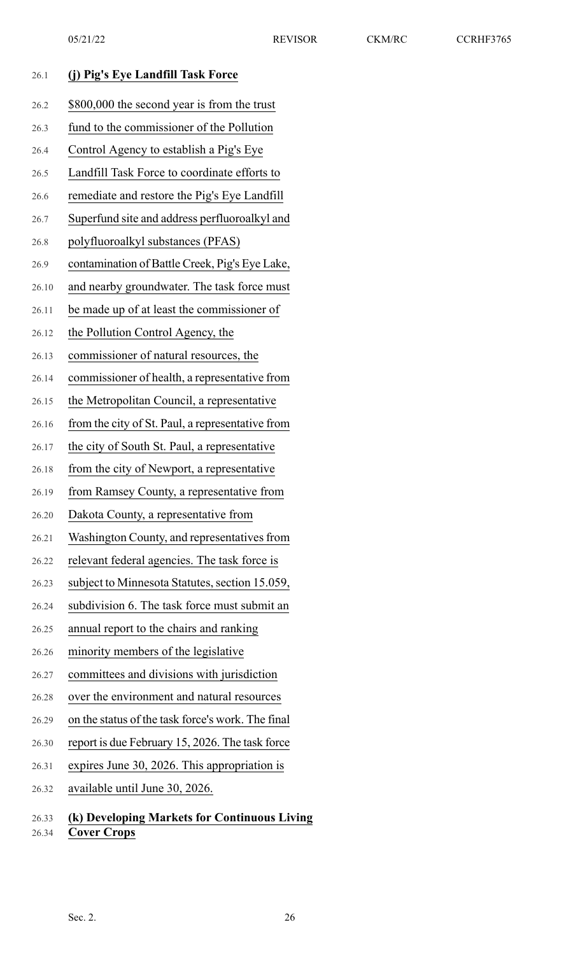| 26.1           | (j) Pig's Eye Landfill Task Force                                  |
|----------------|--------------------------------------------------------------------|
| 26.2           | \$800,000 the second year is from the trust                        |
| 26.3           | fund to the commissioner of the Pollution                          |
| 26.4           | Control Agency to establish a Pig's Eye                            |
| 26.5           | Landfill Task Force to coordinate efforts to                       |
| 26.6           | remediate and restore the Pig's Eye Landfill                       |
| 26.7           | Superfund site and address perfluoroalkyl and                      |
| 26.8           | polyfluoroalkyl substances (PFAS)                                  |
| 26.9           | contamination of Battle Creek, Pig's Eye Lake,                     |
| 26.10          | and nearby groundwater. The task force must                        |
| 26.11          | be made up of at least the commissioner of                         |
| 26.12          | the Pollution Control Agency, the                                  |
| 26.13          | commissioner of natural resources, the                             |
| 26.14          | commissioner of health, a representative from                      |
| 26.15          | the Metropolitan Council, a representative                         |
| 26.16          | from the city of St. Paul, a representative from                   |
| 26.17          | the city of South St. Paul, a representative                       |
| 26.18          | from the city of Newport, a representative                         |
| 26.19          | from Ramsey County, a representative from                          |
| 26.20          | Dakota County, a representative from                               |
| 26.21          | Washington County, and representatives from                        |
| 26.22          | relevant federal agencies. The task force is                       |
| 26.23          | subject to Minnesota Statutes, section 15.059,                     |
| 26.24          | subdivision 6. The task force must submit an                       |
| 26.25          | annual report to the chairs and ranking                            |
| 26.26          | minority members of the legislative                                |
| 26.27          | committees and divisions with jurisdiction                         |
| 26.28          | over the environment and natural resources                         |
| 26.29          | on the status of the task force's work. The final                  |
| 26.30          | report is due February 15, 2026. The task force                    |
| 26.31          | expires June 30, 2026. This appropriation is                       |
| 26.32          | available until June 30, 2026.                                     |
| 26.33<br>26.34 | (k) Developing Markets for Continuous Living<br><b>Cover Crops</b> |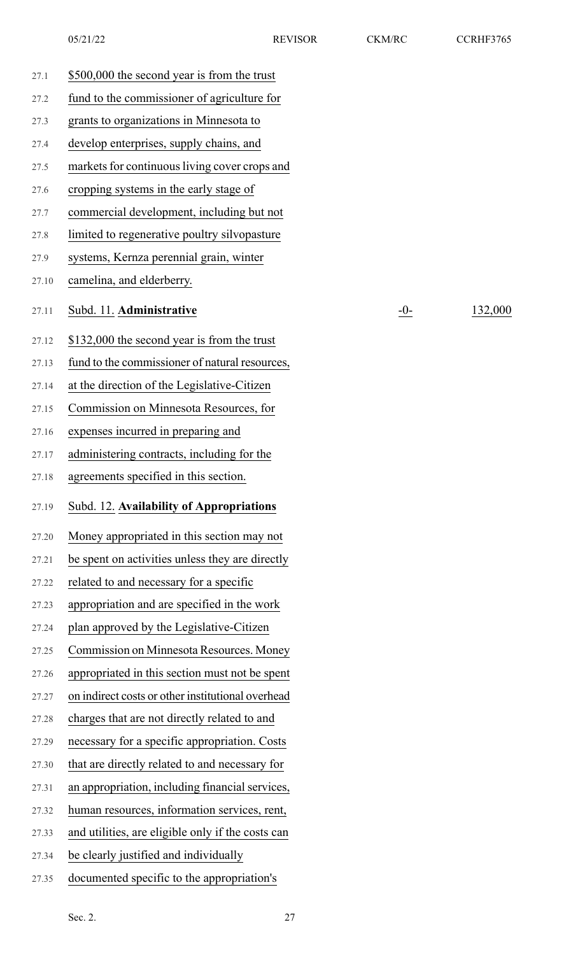| 27.1  | \$500,000 the second year is from the trust       |       |         |
|-------|---------------------------------------------------|-------|---------|
| 27.2  | fund to the commissioner of agriculture for       |       |         |
| 27.3  | grants to organizations in Minnesota to           |       |         |
| 27.4  | develop enterprises, supply chains, and           |       |         |
| 27.5  | markets for continuous living cover crops and     |       |         |
| 27.6  | cropping systems in the early stage of            |       |         |
| 27.7  | commercial development, including but not         |       |         |
| 27.8  | limited to regenerative poultry silvopasture      |       |         |
| 27.9  | systems, Kernza perennial grain, winter           |       |         |
| 27.10 | camelina, and elderberry.                         |       |         |
| 27.11 | Subd. 11. Administrative                          | $-0-$ | 132,000 |
| 27.12 | \$132,000 the second year is from the trust       |       |         |
| 27.13 | fund to the commissioner of natural resources,    |       |         |
| 27.14 | at the direction of the Legislative-Citizen       |       |         |
| 27.15 | Commission on Minnesota Resources, for            |       |         |
| 27.16 | expenses incurred in preparing and                |       |         |
| 27.17 | administering contracts, including for the        |       |         |
| 27.18 | agreements specified in this section.             |       |         |
| 27.19 | Subd. 12. Availability of Appropriations          |       |         |
| 27.20 | Money appropriated in this section may not        |       |         |
| 27.21 | be spent on activities unless they are directly   |       |         |
| 27.22 | related to and necessary for a specific           |       |         |
| 27.23 | appropriation and are specified in the work       |       |         |
| 27.24 | plan approved by the Legislative-Citizen          |       |         |
| 27.25 | Commission on Minnesota Resources. Money          |       |         |
| 27.26 | appropriated in this section must not be spent    |       |         |
| 27.27 | on indirect costs or other institutional overhead |       |         |
| 27.28 | charges that are not directly related to and      |       |         |
| 27.29 | necessary for a specific appropriation. Costs     |       |         |
| 27.30 | that are directly related to and necessary for    |       |         |
| 27.31 | an appropriation, including financial services,   |       |         |
| 27.32 | human resources, information services, rent,      |       |         |
| 27.33 | and utilities, are eligible only if the costs can |       |         |
| 27.34 | be clearly justified and individually             |       |         |
| 27.35 | documented specific to the appropriation's        |       |         |
|       |                                                   |       |         |

Sec. 2. 27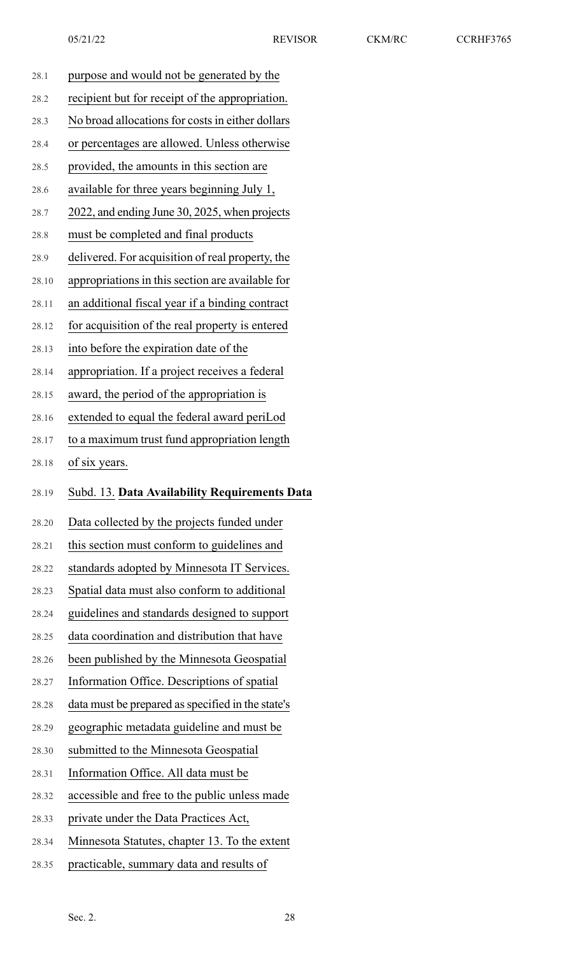| 28.1  | purpose and would not be generated by the         |
|-------|---------------------------------------------------|
| 28.2  | recipient but for receipt of the appropriation.   |
| 28.3  | No broad allocations for costs in either dollars  |
| 28.4  | or percentages are allowed. Unless otherwise      |
| 28.5  | provided, the amounts in this section are         |
| 28.6  | available for three years beginning July 1,       |
| 28.7  | 2022, and ending June 30, 2025, when projects     |
| 28.8  | must be completed and final products              |
| 28.9  | delivered. For acquisition of real property, the  |
| 28.10 | appropriations in this section are available for  |
| 28.11 | an additional fiscal year if a binding contract   |
| 28.12 | for acquisition of the real property is entered   |
| 28.13 | into before the expiration date of the            |
| 28.14 | appropriation. If a project receives a federal    |
| 28.15 | award, the period of the appropriation is         |
| 28.16 | extended to equal the federal award periLod       |
| 28.17 | to a maximum trust fund appropriation length      |
| 28.18 | of six years.                                     |
|       |                                                   |
| 28.19 | Subd. 13. Data Availability Requirements Data     |
| 28.20 | Data collected by the projects funded under       |
| 28.21 | this section must conform to guidelines and       |
| 28.22 | standards adopted by Minnesota IT Services.       |
| 28.23 | Spatial data must also conform to additional      |
| 28.24 | guidelines and standards designed to support      |
| 28.25 | data coordination and distribution that have      |
| 28.26 | been published by the Minnesota Geospatial        |
| 28.27 | Information Office. Descriptions of spatial       |
| 28.28 | data must be prepared as specified in the state's |
| 28.29 | geographic metadata guideline and must be         |
| 28.30 | submitted to the Minnesota Geospatial             |
| 28.31 | Information Office. All data must be              |
| 28.32 | accessible and free to the public unless made     |
| 28.33 | private under the Data Practices Act,             |
| 28.34 | Minnesota Statutes, chapter 13. To the extent     |
| 28.35 | practicable, summary data and results of          |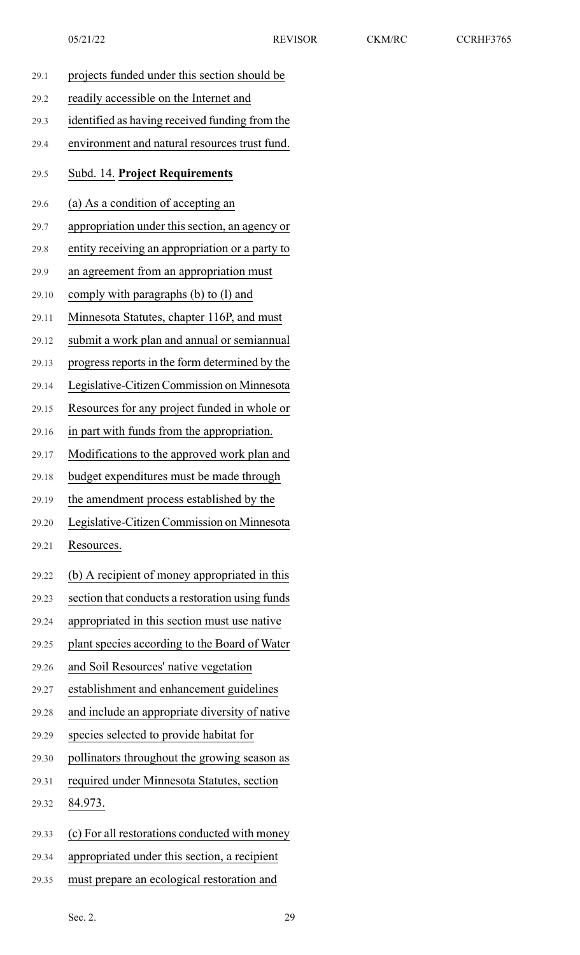| 29.1  | projects funded under this section should be    |
|-------|-------------------------------------------------|
| 29.2  | readily accessible on the Internet and          |
| 29.3  | identified as having received funding from the  |
| 29.4  | environment and natural resources trust fund.   |
| 29.5  | Subd. 14. Project Requirements                  |
| 29.6  | (a) As a condition of accepting an              |
| 29.7  | appropriation under this section, an agency or  |
| 29.8  | entity receiving an appropriation or a party to |
| 29.9  | an agreement from an appropriation must         |
| 29.10 | comply with paragraphs $(b)$ to $(l)$ and       |
| 29.11 | Minnesota Statutes, chapter 116P, and must      |
| 29.12 | submit a work plan and annual or semiannual     |
| 29.13 | progress reports in the form determined by the  |
| 29.14 | Legislative-Citizen Commission on Minnesota     |
| 29.15 | Resources for any project funded in whole or    |
| 29.16 | in part with funds from the appropriation.      |
| 29.17 | Modifications to the approved work plan and     |
| 29.18 | budget expenditures must be made through        |
| 29.19 | the amendment process established by the        |
| 29.20 | Legislative-Citizen Commission on Minnesota     |
| 29.21 | Resources.                                      |
| 29.22 | (b) A recipient of money appropriated in this   |
| 29.23 | section that conducts a restoration using funds |
| 29.24 | appropriated in this section must use native    |
| 29.25 | plant species according to the Board of Water   |
| 29.26 | and Soil Resources' native vegetation           |
| 29.27 | establishment and enhancement guidelines        |
| 29.28 | and include an appropriate diversity of native  |
| 29.29 | species selected to provide habitat for         |
| 29.30 | pollinators throughout the growing season as    |
| 29.31 | required under Minnesota Statutes, section      |
| 29.32 | 84.973.                                         |
| 29.33 | (c) For all restorations conducted with money   |
| 29.34 | appropriated under this section, a recipient    |
|       |                                                 |

29.35 must prepare an ecological restoration and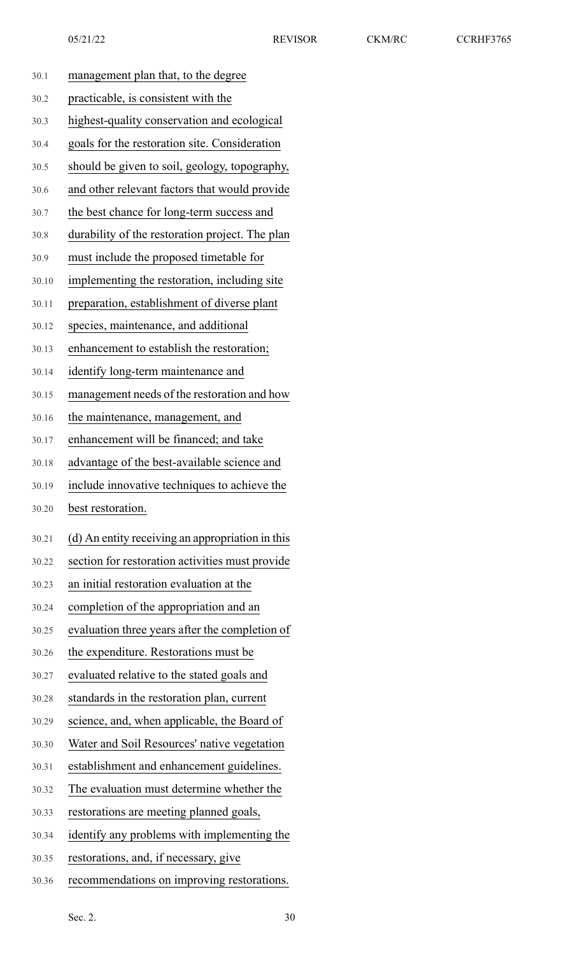| 30.1  | management plan that, to the degree              |
|-------|--------------------------------------------------|
| 30.2  | practicable, is consistent with the              |
| 30.3  | highest-quality conservation and ecological      |
| 30.4  | goals for the restoration site. Consideration    |
| 30.5  | should be given to soil, geology, topography,    |
| 30.6  | and other relevant factors that would provide    |
| 30.7  | the best chance for long-term success and        |
| 30.8  | durability of the restoration project. The plan  |
| 30.9  | must include the proposed timetable for          |
| 30.10 | implementing the restoration, including site     |
| 30.11 | preparation, establishment of diverse plant      |
| 30.12 | species, maintenance, and additional             |
| 30.13 | enhancement to establish the restoration;        |
| 30.14 | identify long-term maintenance and               |
| 30.15 | management needs of the restoration and how      |
| 30.16 | the maintenance, management, and                 |
| 30.17 | enhancement will be financed; and take           |
| 30.18 | advantage of the best-available science and      |
| 30.19 | include innovative techniques to achieve the     |
| 30.20 | best restoration.                                |
| 30.21 | (d) An entity receiving an appropriation in this |
| 30.22 | section for restoration activities must provide  |
| 30.23 | an initial restoration evaluation at the         |
| 30.24 | completion of the appropriation and an           |
| 30.25 | evaluation three years after the completion of   |
| 30.26 | the expenditure. Restorations must be            |
| 30.27 | evaluated relative to the stated goals and       |
| 30.28 | standards in the restoration plan, current       |
| 30.29 | science, and, when applicable, the Board of      |
| 30.30 | Water and Soil Resources' native vegetation      |
| 30.31 | establishment and enhancement guidelines.        |
| 30.32 | The evaluation must determine whether the        |
| 30.33 | restorations are meeting planned goals,          |
| 30.34 | identify any problems with implementing the      |
| 30.35 | restorations, and, if necessary, give            |

30.36 recommendations on improving restorations.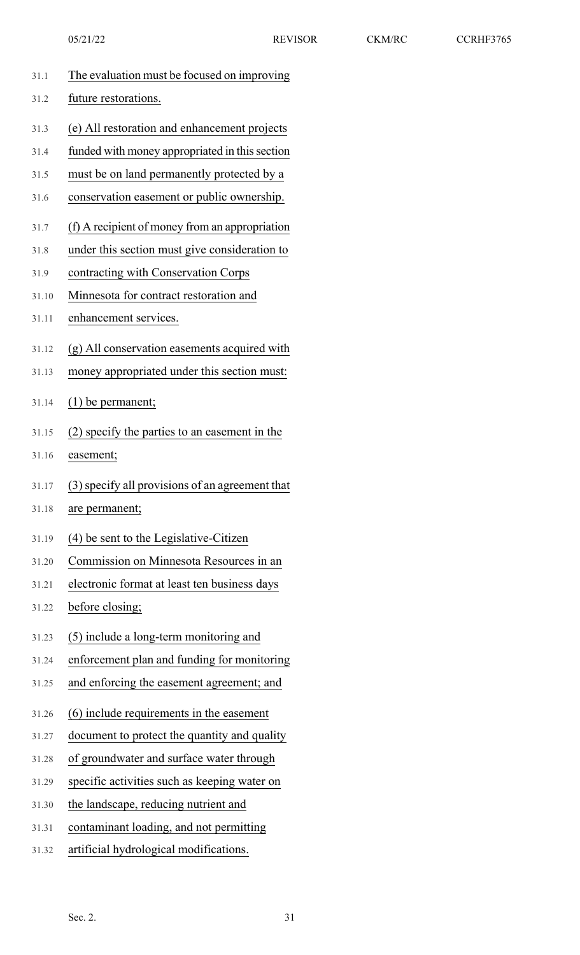| 31.1  | The evaluation must be focused on improving     |
|-------|-------------------------------------------------|
| 31.2  | future restorations.                            |
| 31.3  | (e) All restoration and enhancement projects    |
| 31.4  | funded with money appropriated in this section  |
| 31.5  | must be on land permanently protected by a      |
| 31.6  | conservation easement or public ownership.      |
| 31.7  | (f) A recipient of money from an appropriation  |
| 31.8  | under this section must give consideration to   |
| 31.9  | contracting with Conservation Corps             |
| 31.10 | Minnesota for contract restoration and          |
| 31.11 | enhancement services.                           |
| 31.12 | (g) All conservation easements acquired with    |
| 31.13 | money appropriated under this section must:     |
| 31.14 | $(1)$ be permanent;                             |
| 31.15 | (2) specify the parties to an easement in the   |
| 31.16 | easement;                                       |
| 31.17 | (3) specify all provisions of an agreement that |
| 31.18 | are permanent;                                  |
| 31.19 | (4) be sent to the Legislative-Citizen          |
| 31.20 | Commission on Minnesota Resources in an         |
| 31.21 | electronic format at least ten business days    |
| 31.22 | before closing;                                 |
| 31.23 | (5) include a long-term monitoring and          |
| 31.24 | enforcement plan and funding for monitoring     |
| 31.25 | and enforcing the easement agreement; and       |
| 31.26 | (6) include requirements in the easement        |
| 31.27 | document to protect the quantity and quality    |
| 31.28 | of groundwater and surface water through        |
| 31.29 | specific activities such as keeping water on    |
| 31.30 | the landscape, reducing nutrient and            |
| 31.31 | contaminant loading, and not permitting         |
| 31.32 | artificial hydrological modifications.          |
|       |                                                 |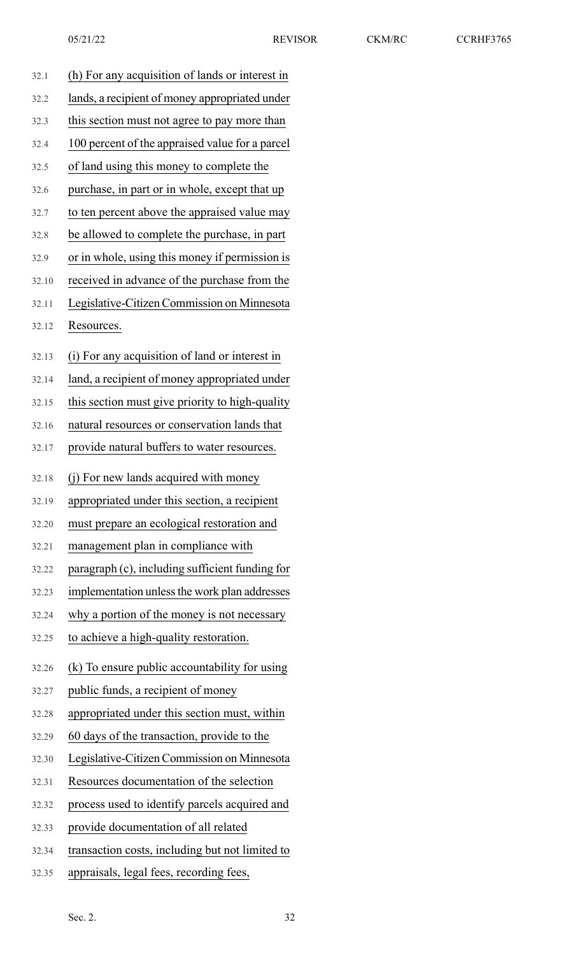| 32.1  | (h) For any acquisition of lands or interest in |
|-------|-------------------------------------------------|
| 32.2  | lands, a recipient of money appropriated under  |
| 32.3  | this section must not agree to pay more than    |
| 32.4  | 100 percent of the appraised value for a parcel |
| 32.5  | of land using this money to complete the        |
| 32.6  | purchase, in part or in whole, except that up   |
| 32.7  | to ten percent above the appraised value may    |
| 32.8  | be allowed to complete the purchase, in part    |
| 32.9  | or in whole, using this money if permission is  |
| 32.10 | received in advance of the purchase from the    |
| 32.11 | Legislative-Citizen Commission on Minnesota     |
| 32.12 | Resources.                                      |
|       |                                                 |
| 32.13 | (i) For any acquisition of land or interest in  |
| 32.14 | land, a recipient of money appropriated under   |
| 32.15 | this section must give priority to high-quality |
| 32.16 | natural resources or conservation lands that    |
| 32.17 | provide natural buffers to water resources.     |
| 32.18 | (i) For new lands acquired with money           |
| 32.19 | appropriated under this section, a recipient    |
| 32.20 | must prepare an ecological restoration and      |
| 32.21 | management plan in compliance with              |
| 32.22 | paragraph (c), including sufficient funding for |
| 32.23 | implementation unless the work plan addresses   |
| 32.24 | why a portion of the money is not necessary     |
| 32.25 | to achieve a high-quality restoration.          |
| 32.26 | (k) To ensure public accountability for using   |
| 32.27 | public funds, a recipient of money              |
| 32.28 | appropriated under this section must, within    |
| 32.29 | 60 days of the transaction, provide to the      |
| 32.30 | Legislative-Citizen Commission on Minnesota     |
| 32.31 | Resources documentation of the selection        |
| 32.32 | process used to identify parcels acquired and   |
| 32.33 | provide documentation of all related            |
| 32.34 | transaction costs, including but not limited to |
| 32.35 | appraisals, legal fees, recording fees,         |
|       |                                                 |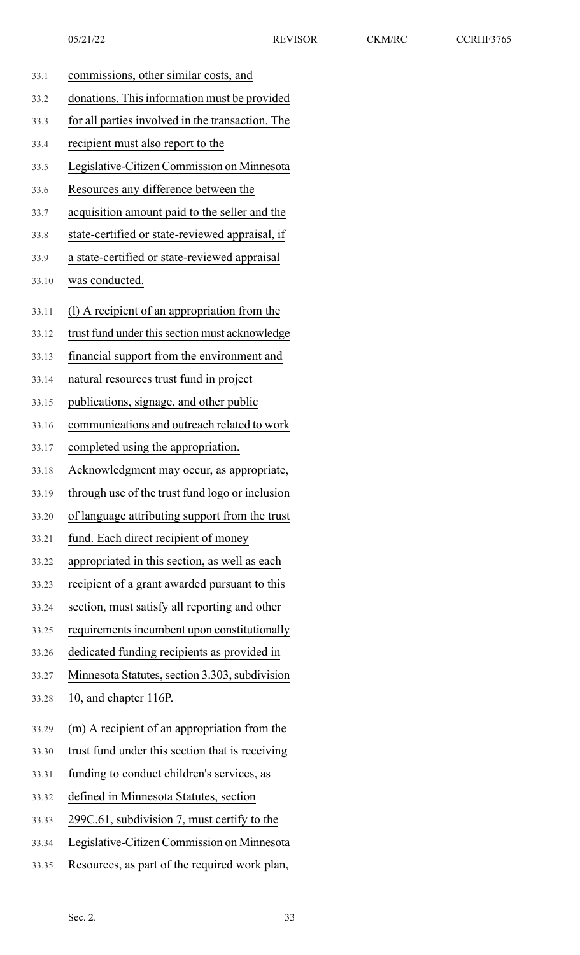| 33.1  | commissions, other similar costs, and            |
|-------|--------------------------------------------------|
| 33.2  | donations. This information must be provided     |
| 33.3  | for all parties involved in the transaction. The |
| 33.4  | recipient must also report to the                |
| 33.5  | Legislative-Citizen Commission on Minnesota      |
| 33.6  | Resources any difference between the             |
| 33.7  | acquisition amount paid to the seller and the    |
| 33.8  | state-certified or state-reviewed appraisal, if  |
| 33.9  | a state-certified or state-reviewed appraisal    |
| 33.10 | was conducted.                                   |
| 33.11 | (1) A recipient of an appropriation from the     |
| 33.12 | trust fund under this section must acknowledge   |
| 33.13 | financial support from the environment and       |
| 33.14 | natural resources trust fund in project          |
| 33.15 | publications, signage, and other public          |
| 33.16 | communications and outreach related to work      |
| 33.17 | completed using the appropriation.               |
| 33.18 | Acknowledgment may occur, as appropriate,        |
| 33.19 | through use of the trust fund logo or inclusion  |
| 33.20 | of language attributing support from the trust   |
| 33.21 | fund. Each direct recipient of money             |
| 33.22 | appropriated in this section, as well as each    |
| 33.23 | recipient of a grant awarded pursuant to this    |
| 33.24 | section, must satisfy all reporting and other    |
| 33.25 | requirements incumbent upon constitutionally     |
| 33.26 | dedicated funding recipients as provided in      |
| 33.27 | Minnesota Statutes, section 3.303, subdivision   |
| 33.28 | 10, and chapter 116P.                            |
| 33.29 | (m) A recipient of an appropriation from the     |
| 33.30 | trust fund under this section that is receiving  |
| 33.31 | funding to conduct children's services, as       |
| 33.32 | defined in Minnesota Statutes, section           |
| 33.33 | 299C.61, subdivision 7, must certify to the      |
| 33.34 | Legislative-Citizen Commission on Minnesota      |
| 33.35 | Resources, as part of the required work plan,    |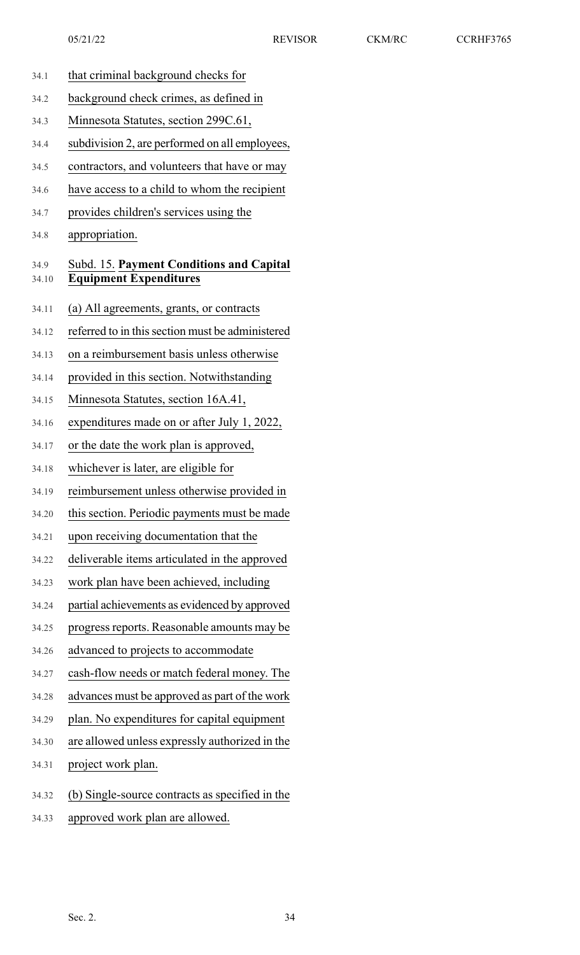34.1 that criminal background checks for 34.2 background check crimes, as defined in 34.3 Minnesota Statutes, section 299C.61, 34.4 subdivision 2, are performed on all employees, 34.5 contractors, and volunteers that have or may 34.6 have access to a child to whom the recipient 34.7 provides children's services using the 34.8 appropriation. 34.9 Subd. 15. **Payment Conditions and Capital** 34.10 **Equipment Expenditures** 34.11 (a) All agreements, grants, or contracts 34.12 referred to in thissection must be administered 34.13 on a reimbursement basis unless otherwise 34.14 provided in this section. Notwithstanding 34.15 Minnesota Statutes, section 16A.41, 34.16 expenditures made on or after July 1, 2022, 34.17 or the date the work plan is approved, 34.18 whichever is later, are eligible for 34.19 reimbursement unless otherwise provided in 34.20 this section. Periodic payments must be made 34.21 upon receiving documentation that the 34.22 deliverable items articulated in the approved 34.23 work plan have been achieved, including 34.24 partial achievements as evidenced by approved 34.25 progress reports. Reasonable amounts may be 34.26 advanced to projects to accommodate 34.27 cash-flow needs or match federal money. The 34.28 advances must be approved as part of the work 34.29 plan. No expenditures for capital equipment 34.30 are allowed unless expressly authorized in the 34.31 project work plan. 34.32 (b) Single-source contracts as specified in the 34.33 approved work plan are allowed. Sec. 2.  $34$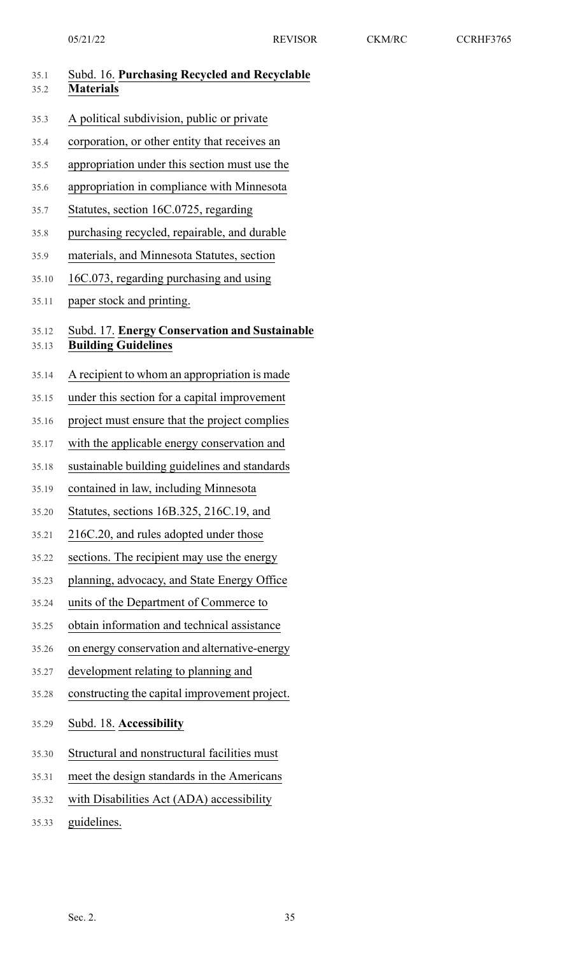| 35.1<br>35.2   | Subd. 16. Purchasing Recycled and Recyclable<br><b>Materials</b>            |
|----------------|-----------------------------------------------------------------------------|
| 35.3           | A political subdivision, public or private                                  |
| 35.4           | corporation, or other entity that receives an                               |
| 35.5           | appropriation under this section must use the                               |
| 35.6           | appropriation in compliance with Minnesota                                  |
| 35.7           | Statutes, section 16C.0725, regarding                                       |
| 35.8           | purchasing recycled, repairable, and durable                                |
| 35.9           | materials, and Minnesota Statutes, section                                  |
| 35.10          | 16C.073, regarding purchasing and using                                     |
| 35.11          | paper stock and printing.                                                   |
| 35.12<br>35.13 | Subd. 17. Energy Conservation and Sustainable<br><b>Building Guidelines</b> |
| 35.14          | A recipient to whom an appropriation is made                                |
| 35.15          | under this section for a capital improvement                                |
| 35.16          | project must ensure that the project complies                               |
| 35.17          | with the applicable energy conservation and                                 |
| 35.18          | sustainable building guidelines and standards                               |
| 35.19          | contained in law, including Minnesota                                       |
| 35.20          | Statutes, sections 16B.325, 216C.19, and                                    |
| 35.21          | 216C.20, and rules adopted under those                                      |
| 35.22          | sections. The recipient may use the energy                                  |
| 35.23          | planning, advocacy, and State Energy Office                                 |
| 35.24          | units of the Department of Commerce to                                      |
| 35.25          | obtain information and technical assistance                                 |
| 35.26          | on energy conservation and alternative-energy                               |
| 35.27          | development relating to planning and                                        |
| 35.28          | constructing the capital improvement project.                               |
| 35.29          | Subd. 18. Accessibility                                                     |
| 35.30          | Structural and nonstructural facilities must                                |
| 35.31          | meet the design standards in the Americans                                  |
| 35.32          | with Disabilities Act (ADA) accessibility                                   |
| 35.33          | guidelines.                                                                 |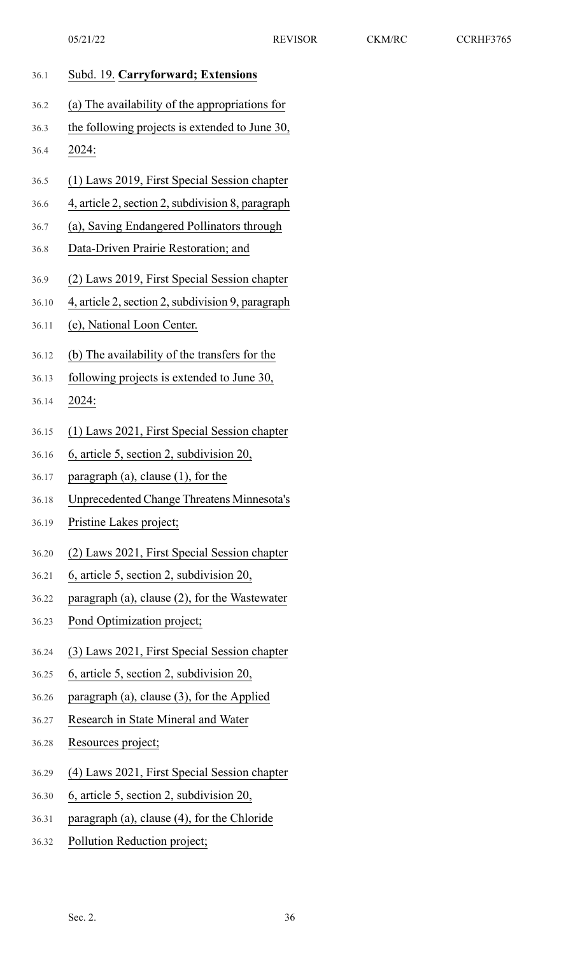| 36.1  | Subd. 19. Carryforward; Extensions                |
|-------|---------------------------------------------------|
| 36.2  | (a) The availability of the appropriations for    |
| 36.3  | the following projects is extended to June 30,    |
| 36.4  | 2024:                                             |
| 36.5  | (1) Laws 2019, First Special Session chapter      |
| 36.6  | 4, article 2, section 2, subdivision 8, paragraph |
| 36.7  | (a), Saving Endangered Pollinators through        |
| 36.8  | Data-Driven Prairie Restoration; and              |
| 36.9  | (2) Laws 2019, First Special Session chapter      |
| 36.10 | 4, article 2, section 2, subdivision 9, paragraph |
| 36.11 | (e), National Loon Center.                        |
| 36.12 | (b) The availability of the transfers for the     |
| 36.13 | following projects is extended to June 30,        |
| 36.14 | 2024:                                             |
| 36.15 | (1) Laws 2021, First Special Session chapter      |
| 36.16 | 6, article 5, section 2, subdivision 20,          |
| 36.17 | paragraph (a), clause (1), for the                |
| 36.18 | <b>Unprecedented Change Threatens Minnesota's</b> |
| 36.19 | Pristine Lakes project;                           |
| 36.20 | (2) Laws 2021, First Special Session chapter      |
| 36.21 | 6, article 5, section 2, subdivision 20,          |
| 36.22 | paragraph (a), clause (2), for the Wastewater     |
| 36.23 | Pond Optimization project;                        |
| 36.24 | (3) Laws 2021, First Special Session chapter      |
| 36.25 | 6, article 5, section 2, subdivision 20,          |
| 36.26 | paragraph (a), clause (3), for the Applied        |
| 36.27 | Research in State Mineral and Water               |
| 36.28 | Resources project;                                |
| 36.29 | (4) Laws 2021, First Special Session chapter      |
| 36.30 | 6, article 5, section 2, subdivision 20,          |
| 36.31 | paragraph (a), clause (4), for the Chloride       |
| 36.32 | Pollution Reduction project;                      |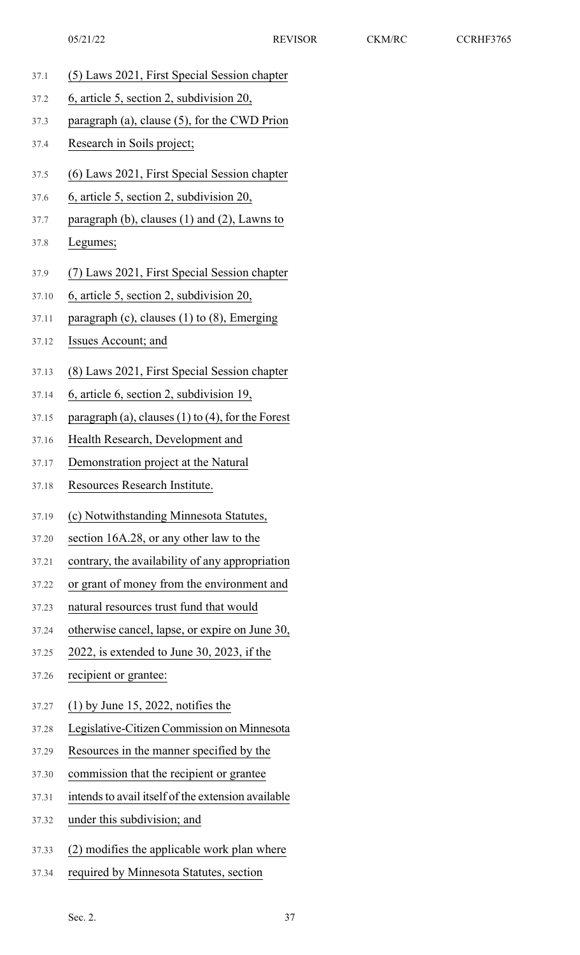- 37.1 (5) Laws 2021, First Special Session chapter
- 37.2 6, article 5, section 2, subdivision 20,
- 37.3 paragraph (a), clause (5), for the CWD Prion
- 37.4 Research in Soils project;
- 37.5 (6) Laws 2021, First Special Session chapter
- 37.6 6, article 5, section 2, subdivision 20,
- 37.7 paragraph (b), clauses (1) and (2), Lawns to

## 37.8 Legumes;

- 37.9 (7) Laws 2021, First Special Session chapter
- 37.10 6, article 5, section 2, subdivision 20,
- 37.11 paragraph (c), clauses (1) to (8), Emerging
- 37.12 Issues Account; and
- 37.13 (8) Laws 2021, First Special Session chapter
- 37.14 6, article 6, section 2, subdivision 19,
- 37.15 paragraph (a), clauses (1) to (4), for the Forest
- 37.16 Health Research, Development and
- 37.17 Demonstration project at the Natural
- 37.18 Resources Research Institute.
- 37.19 (c) Notwithstanding Minnesota Statutes,
- 37.20 section 16A.28, or any other law to the
- 37.21 contrary, the availability of any appropriation
- 37.22 or grant of money from the environment and
- 37.23 natural resources trust fund that would
- 37.24 otherwise cancel, lapse, or expire on June 30,
- 37.25 2022, is extended to June 30, 2023, if the
- 37.26 recipient or grantee:
- 37.27 (1) by June 15, 2022, notifies the
- 37.28 Legislative-Citizen Commission on Minnesota
- 37.29 Resources in the manner specified by the
- 37.30 commission that the recipient or grantee
- 37.31 intends to avail itself of the extension available
- 37.32 under this subdivision; and
- 37.33 (2) modifies the applicable work plan where
- 37.34 required by Minnesota Statutes, section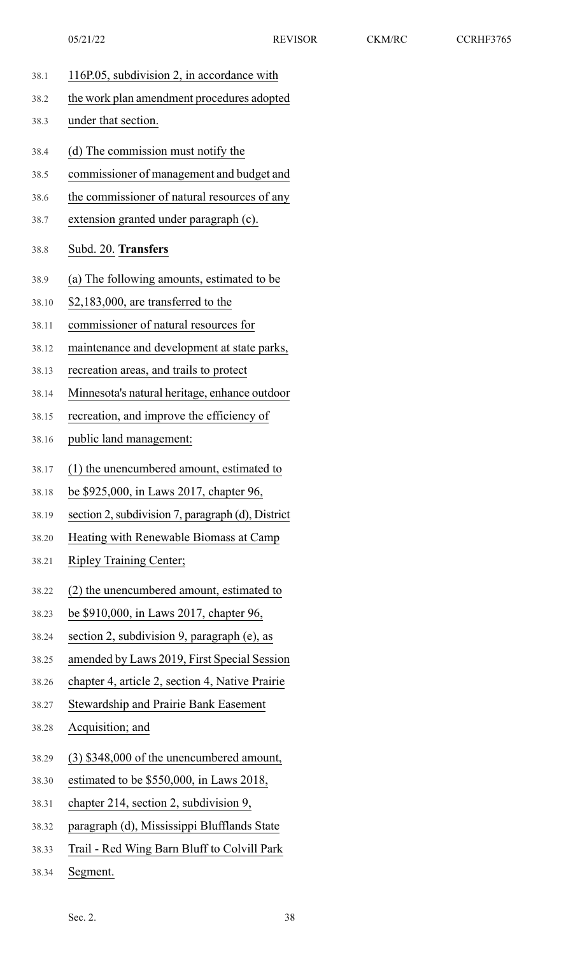| 38.1  | 116P.05, subdivision 2, in accordance with        |
|-------|---------------------------------------------------|
| 38.2  | the work plan amendment procedures adopted        |
| 38.3  | under that section.                               |
| 38.4  | (d) The commission must notify the                |
| 38.5  | commissioner of management and budget and         |
| 38.6  | the commissioner of natural resources of any      |
| 38.7  | extension granted under paragraph (c).            |
| 38.8  | Subd. 20. Transfers                               |
| 38.9  | (a) The following amounts, estimated to be        |
| 38.10 | $$2,183,000$ , are transferred to the             |
| 38.11 | commissioner of natural resources for             |
| 38.12 | maintenance and development at state parks,       |
| 38.13 | recreation areas, and trails to protect           |
| 38.14 | Minnesota's natural heritage, enhance outdoor     |
| 38.15 | recreation, and improve the efficiency of         |
| 38.16 | public land management:                           |
| 38.17 | (1) the unencumbered amount, estimated to         |
| 38.18 | be \$925,000, in Laws 2017, chapter 96,           |
| 38.19 | section 2, subdivision 7, paragraph (d), District |
| 38.20 | Heating with Renewable Biomass at Camp            |
| 38.21 | <b>Ripley Training Center;</b>                    |
| 38.22 | (2) the unencumbered amount, estimated to         |
| 38.23 | be \$910,000, in Laws 2017, chapter 96,           |
| 38.24 | section 2, subdivision 9, paragraph (e), as       |
| 38.25 | amended by Laws 2019, First Special Session       |
| 38.26 | chapter 4, article 2, section 4, Native Prairie   |
| 38.27 | <b>Stewardship and Prairie Bank Easement</b>      |
| 38.28 | Acquisition; and                                  |
| 38.29 | $(3)$ \$348,000 of the unencumbered amount,       |
| 38.30 | estimated to be \$550,000, in Laws 2018,          |
| 38.31 | chapter 214, section 2, subdivision 9,            |
| 38.32 | paragraph (d), Mississippi Blufflands State       |
| 38.33 | Trail - Red Wing Barn Bluff to Colvill Park       |
|       |                                                   |

38.34 Segment.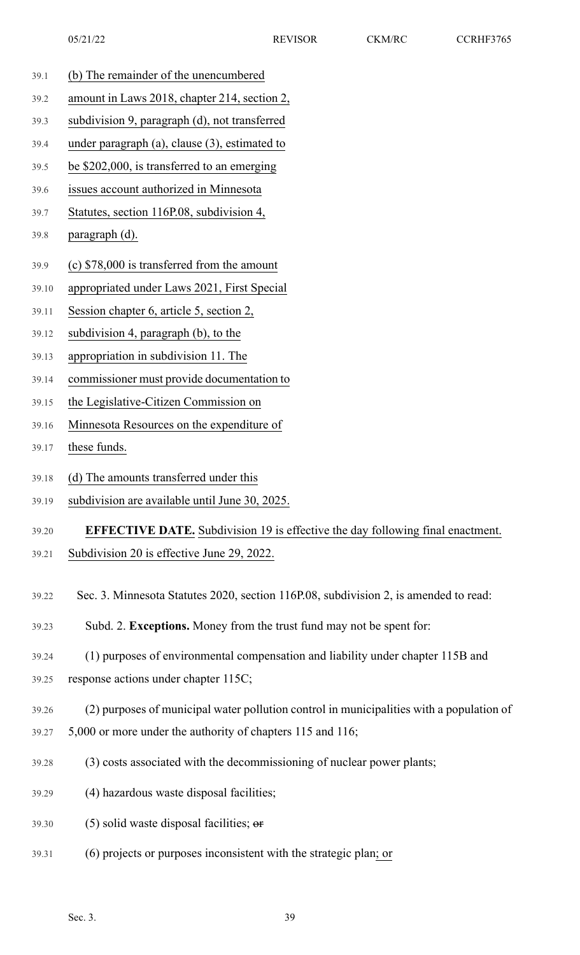- 39.1 (b) The remainder of the unencumbered
- 39.2 amount in Laws 2018, chapter 214, section 2,
- 39.3 subdivision 9, paragraph (d), not transferred
- 39.4 under paragraph (a), clause (3), estimated to
- 39.5 be \$202,000, is transferred to an emerging
- 39.6 issues account authorized in Minnesota
- 39.7 Statutes, section 116P.08, subdivision 4,

# 39.8 paragraph (d).

- 39.9 (c) \$78,000 is transferred from the amount
- 39.10 appropriated under Laws 2021, First Special
- 39.11 Session chapter 6, article 5, section 2,
- 39.12 subdivision 4, paragraph (b), to the
- 39.13 appropriation in subdivision 11. The
- 39.14 commissioner must provide documentation to
- 39.15 the Legislative-Citizen Commission on
- 39.16 Minnesota Resources on the expenditure of
- 39.17 these funds.
- 39.18 (d) The amounts transferred under this
- 39.19 subdivision are available until June 30, 2025.
- 39.20 **EFFECTIVE DATE.** Subdivision 19 is effective the day following final enactment.
- 39.21 Subdivision 20 is effective June 29, 2022.
- 39.22 Sec. 3. Minnesota Statutes 2020, section 116P.08, subdivision 2, is amended to read:
- 39.23 Subd. 2. **Exceptions.** Money from the trust fund may not be spent for:
- 39.24 (1) purposes of environmental compensation and liability under chapter 115B and
- 39.25 response actions under chapter 115C;
- 39.26 (2) purposes of municipal water pollution control in municipalities with a population of
- 39.27 5,000 or more under the authority of chapters 115 and 116;
- 39.28 (3) costs associated with the decommissioning of nuclear power plants;
- 39.29 (4) hazardous waste disposal facilities;
- $39.30$  (5) solid waste disposal facilities;  $\theta$
- 39.31 (6) projects or purposes inconsistent with the strategic plan; or